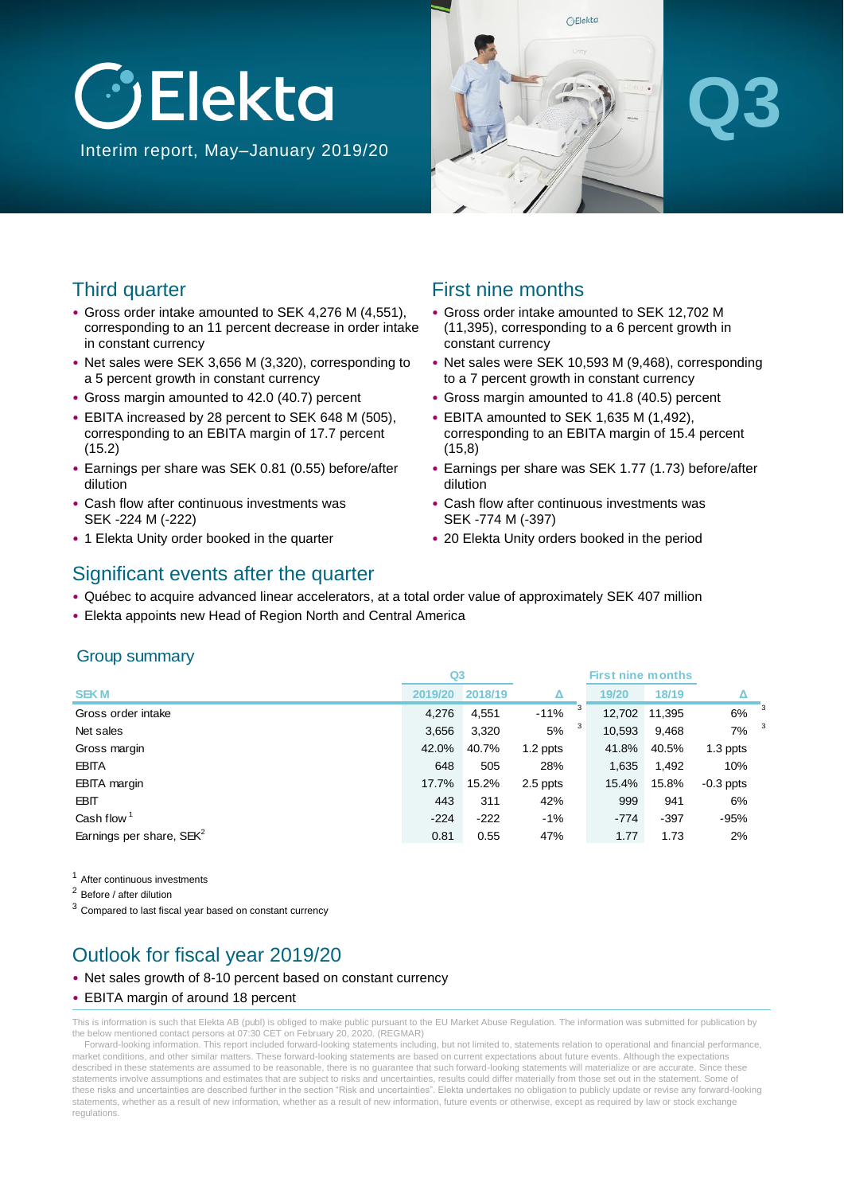



# **Q3**

### Third quarter

- Gross order intake amounted to SEK 4,276 M (4,551), corresponding to an 11 percent decrease in order intake in constant currency
- Net sales were SEK 3,656 M (3,320), corresponding to a 5 percent growth in constant currency
- Gross margin amounted to 42.0 (40.7) percent
- EBITA increased by 28 percent to SEK 648 M (505), corresponding to an EBITA margin of 17.7 percent (15.2)
- Earnings per share was SEK 0.81 (0.55) before/after dilution
- Cash flow after continuous investments was SEK -224 M (-222)
- 1 Elekta Unity order booked in the quarter

### First nine months

- Gross order intake amounted to SEK 12,702 M (11,395), corresponding to a 6 percent growth in constant currency
- Net sales were SEK 10,593 M (9,468), corresponding to a 7 percent growth in constant currency
- Gross margin amounted to 41.8 (40.5) percent
- EBITA amounted to SEK 1,635 M (1,492), corresponding to an EBITA margin of 15.4 percent (15,8)
- Earnings per share was SEK 1.77 (1.73) before/after dilution
- Cash flow after continuous investments was SEK -774 M (-397)
- 20 Elekta Unity orders booked in the period

### Significant events after the quarter

- Québec to acquire advanced linear accelerators, at a total order value of approximately SEK 407 million
- Elekta appoints new Head of Region North and Central America

#### Group summary

|                                      | Q <sub>3</sub> |         | <b>First nine months</b> |   |        |        |             |   |
|--------------------------------------|----------------|---------|--------------------------|---|--------|--------|-------------|---|
| <b>SEKM</b>                          | 2019/20        | 2018/19 | Δ                        |   | 19/20  | 18/19  |             |   |
| Gross order intake                   | 4,276          | 4,551   | $-11%$                   | 3 | 12,702 | 11,395 | 6%          | 3 |
| Net sales                            | 3,656          | 3,320   | 5%                       | 3 | 10,593 | 9,468  | 7%          | 3 |
| Gross margin                         | 42.0%          | 40.7%   | 1.2 ppts                 |   | 41.8%  | 40.5%  | 1.3 ppts    |   |
| <b>EBITA</b>                         | 648            | 505     | 28%                      |   | 1,635  | 1,492  | 10%         |   |
| <b>EBITA</b> margin                  | 17.7%          | 15.2%   | 2.5 ppts                 |   | 15.4%  | 15.8%  | $-0.3$ ppts |   |
| <b>EBIT</b>                          | 443            | 311     | 42%                      |   | 999    | 941    | 6%          |   |
| Cash flow $1$                        | $-224$         | $-222$  | $-1%$                    |   | $-774$ | $-397$ | $-95%$      |   |
| Earnings per share, SEK <sup>2</sup> | 0.81           | 0.55    | 47%                      |   | 1.77   | 1.73   | 2%          |   |

<sup>1</sup> After continuous investments

<sup>2</sup> Before / after dilution

<sup>3</sup> Compared to last fiscal year based on constant currency

### Outlook for fiscal year 2019/20

#### • Net sales growth of 8-10 percent based on constant currency

#### • EBITA margin of around 18 percent

This is information is such that Elekta AB (publ) is obliged to make public pursuant to the EU Market Abuse Regulation. The information was submitted for publication by the below mentioned contact persons at 07:30 CET on February 20, 2020. (REGMAR)

Forward-looking information. This report included forward-looking statements including, but not limited to, statements relation to operational and financial performance, market conditions, and other similar matters. These forward-looking statements are based on current expectations about future events. Although the expectations described in these statements are assumed to be reasonable, there is no guarantee that such forward-looking statements will materialize or are accurate. Since these statements involve assumptions and estimates that are subject to risks and uncertainties, results could differ materially from those set out in the statement. Some of these risks and uncertainties are described further in the section "Risk and uncertainties". Elekta undertakes no obligation to publicly update or revise any forward-looking statements, whether as a result of new information, whether as a result of new information, future events or otherwise, except as required by law or stock exchange regulations.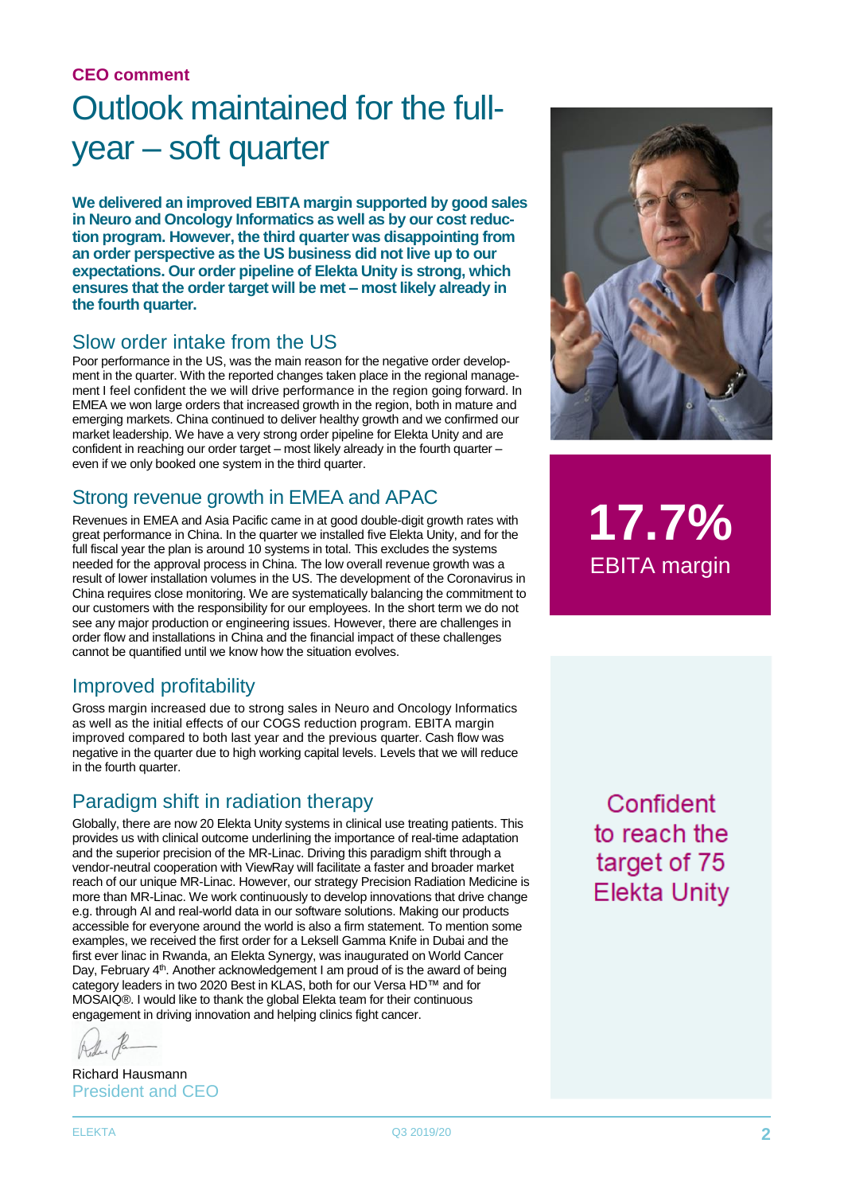#### **CEO comment**

### Outlook maintained for the fullyear – soft quarter

**We delivered an improved EBITA margin supported by good sales in Neuro and Oncology Informatics as well as by our cost reduction program. However, the third quarter was disappointing from an order perspective as the US business did not live up to our expectations. Our order pipeline of Elekta Unity is strong, which ensures that the order target will be met – most likely already in the fourth quarter.**

### Slow order intake from the US

Poor performance in the US, was the main reason for the negative order development in the quarter. With the reported changes taken place in the regional management I feel confident the we will drive performance in the region going forward. In EMEA we won large orders that increased growth in the region, both in mature and emerging markets. China continued to deliver healthy growth and we confirmed our market leadership. We have a very strong order pipeline for Elekta Unity and are confident in reaching our order target – most likely already in the fourth quarter – even if we only booked one system in the third quarter.

### Strong revenue growth in EMEA and APAC

Revenues in EMEA and Asia Pacific came in at good double-digit growth rates with great performance in China. In the quarter we installed five Elekta Unity, and for the full fiscal year the plan is around 10 systems in total. This excludes the systems needed for the approval process in China. The low overall revenue growth was a result of lower installation volumes in the US. The development of the Coronavirus in China requires close monitoring. We are systematically balancing the commitment to our customers with the responsibility for our employees. In the short term we do not see any major production or engineering issues. However, there are challenges in order flow and installations in China and the financial impact of these challenges cannot be quantified until we know how the situation evolves.

### Improved profitability

Gross margin increased due to strong sales in Neuro and Oncology Informatics as well as the initial effects of our COGS reduction program. EBITA margin improved compared to both last year and the previous quarter. Cash flow was negative in the quarter due to high working capital levels. Levels that we will reduce in the fourth quarter.

### Paradigm shift in radiation therapy

Globally, there are now 20 Elekta Unity systems in clinical use treating patients. This provides us with clinical outcome underlining the importance of real-time adaptation and the superior precision of the MR-Linac. Driving this paradigm shift through a vendor-neutral cooperation with ViewRay will facilitate a faster and broader market reach of our unique MR-Linac. However, our strategy Precision Radiation Medicine is more than MR-Linac. We work continuously to develop innovations that drive change e.g. through AI and real-world data in our software solutions. Making our products accessible for everyone around the world is also a firm statement. To mention some examples, we received the first order for a Leksell Gamma Knife in Dubai and the first ever linac in Rwanda, an Elekta Synergy, was inaugurated on World Cancer Day, February 4<sup>th</sup>. Another acknowledgement I am proud of is the award of being category leaders in two 2020 Best in KLAS, both for our Versa HD™ and for MOSAIQ®. I would like to thank the global Elekta team for their continuous engagement in driving innovation and helping clinics fight cancer.

Richard Hausmann President and CEO



**17.7%** EBITA margin

Confident to reach the target of 75 **Elekta Unity**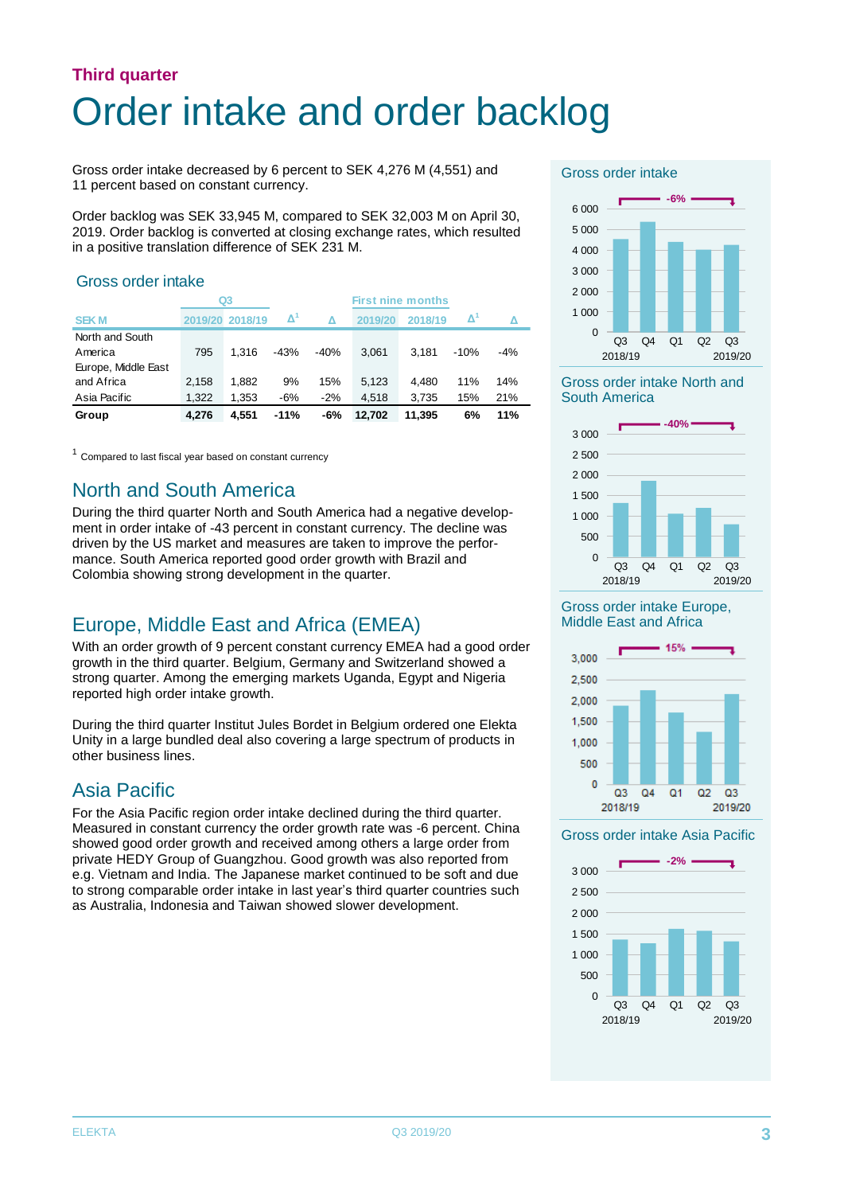### **Third quarter** Order intake and order backlog

Gross order intake decreased by 6 percent to SEK 4,276 M (4,551) and 11 percent based on constant currency.

Order backlog was SEK 33,945 M, compared to SEK 32,003 M on April 30, 2019. Order backlog is converted at closing exchange rates, which resulted in a positive translation difference of SEK 231 M.

#### Gross order intake

|                     |         | Q3      | <b>First nine months</b> |        |         |         |        |       |  |  |
|---------------------|---------|---------|--------------------------|--------|---------|---------|--------|-------|--|--|
| <b>SEKM</b>         | 2019/20 | 2018/19 | $\Delta'$                |        | 2019/20 | 2018/19 | Δ      |       |  |  |
| North and South     |         |         |                          |        |         |         |        |       |  |  |
| America             | 795     | 1.316   | $-43%$                   | $-40%$ | 3.061   | 3.181   | $-10%$ | $-4%$ |  |  |
| Europe, Middle East |         |         |                          |        |         |         |        |       |  |  |
| and Africa          | 2.158   | 1.882   | 9%                       | 15%    | 5.123   | 4.480   | 11%    | 14%   |  |  |
| Asia Pacific        | 1,322   | 1,353   | $-6%$                    | $-2%$  | 4.518   | 3.735   | 15%    | 21%   |  |  |
| Group               | 4.276   | 4.551   | $-11%$                   | -6%    | 12.702  | 11.395  | 6%     | 11%   |  |  |

 $1$  Compared to last fiscal year based on constant currency

### North and South America

During the third quarter North and South America had a negative development in order intake of -43 percent in constant currency. The decline was driven by the US market and measures are taken to improve the performance. South America reported good order growth with Brazil and Colombia showing strong development in the quarter.

### Europe, Middle East and Africa (EMEA)

With an order growth of 9 percent constant currency EMEA had a good order growth in the third quarter. Belgium, Germany and Switzerland showed a strong quarter. Among the emerging markets Uganda, Egypt and Nigeria reported high order intake growth.

During the third quarter Institut Jules Bordet in Belgium ordered one Elekta Unity in a large bundled deal also covering a large spectrum of products in other business lines.

### Asia Pacific

For the Asia Pacific region order intake declined during the third quarter. Measured in constant currency the order growth rate was -6 percent. China showed good order growth and received among others a large order from private HEDY Group of Guangzhou. Good growth was also reported from e.g. Vietnam and India. The Japanese market continued to be soft and due to strong comparable order intake in last year's third quarter countries such as Australia, Indonesia and Taiwan showed slower development.

#### Gross order intake



Gross order intake North and South America



Gross order intake Europe, Middle East and Africa



#### Gross order intake Asia Pacific

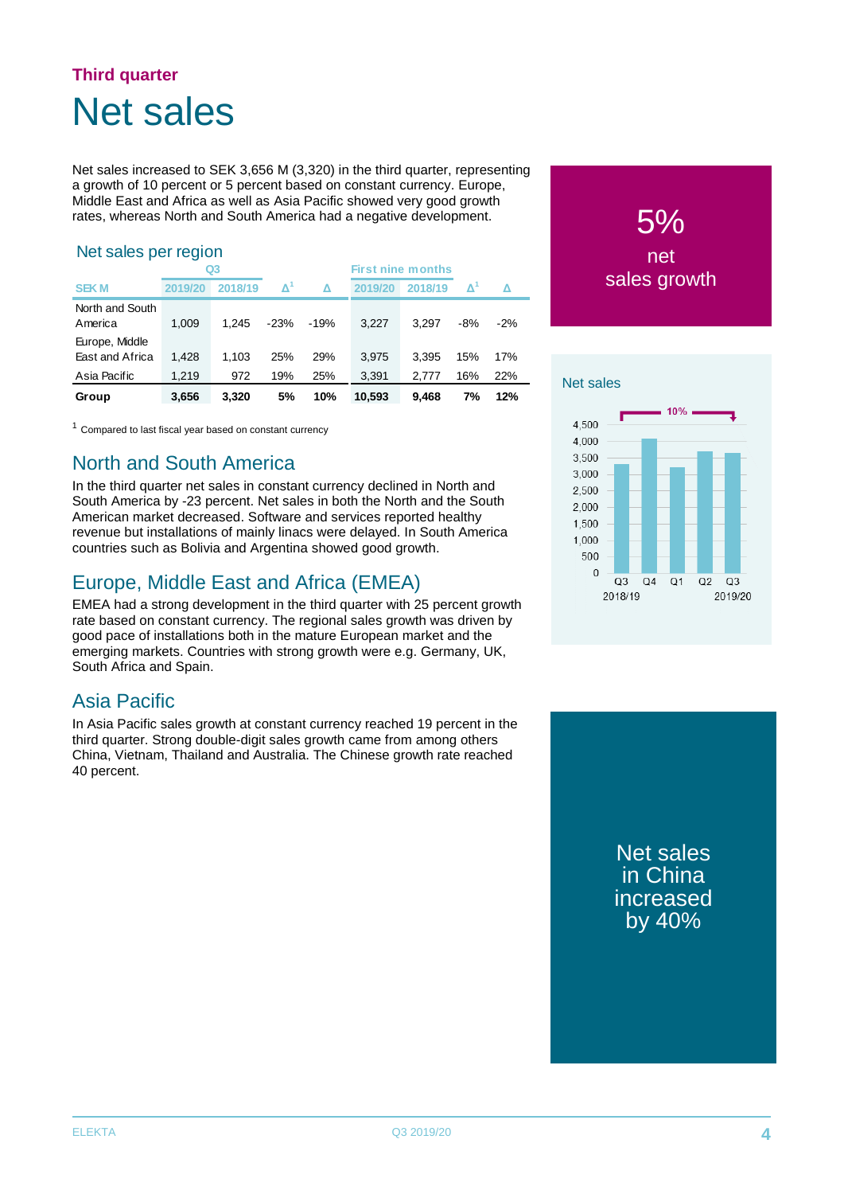### **Third quarter** Net sales

Net sales increased to SEK 3,656 M (3,320) in the third quarter, representing a growth of 10 percent or 5 percent based on constant currency. Europe, Middle East and Africa as well as Asia Pacific showed very good growth rates, whereas North and South America had a negative development.

### Net sales per region

|                 |         | Q <sub>3</sub> | <b>First nine months</b> |        |         |         |     |       |
|-----------------|---------|----------------|--------------------------|--------|---------|---------|-----|-------|
| <b>SEKM</b>     | 2019/20 | 2018/19        | $\mathbf{\Lambda}^1$     | Δ      | 2019/20 | 2018/19 |     |       |
| North and South |         |                |                          |        |         |         |     |       |
| America         | 1.009   | 1.245          | $-23%$                   | $-19%$ | 3.227   | 3.297   | -8% | $-2%$ |
| Europe, Middle  |         |                |                          |        |         |         |     |       |
| East and Africa | 1.428   | 1.103          | 25%                      | 29%    | 3,975   | 3.395   | 15% | 17%   |
| Asia Pacific    | 1,219   | 972            | 19%                      | 25%    | 3,391   | 2.777   | 16% | 22%   |
| Group           | 3,656   | 3.320          | 5%                       | 10%    | 10.593  | 9.468   | 7%  | 12%   |

 $1$  Compared to last fiscal year based on constant currency

### North and South America

In the third quarter net sales in constant currency declined in North and South America by -23 percent. Net sales in both the North and the South American market decreased. Software and services reported healthy revenue but installations of mainly linacs were delayed. In South America countries such as Bolivia and Argentina showed good growth.

### Europe, Middle East and Africa (EMEA)

EMEA had a strong development in the third quarter with 25 percent growth rate based on constant currency. The regional sales growth was driven by good pace of installations both in the mature European market and the emerging markets. Countries with strong growth were e.g. Germany, UK, South Africa and Spain.

### Asia Pacific

In Asia Pacific sales growth at constant currency reached 19 percent in the third quarter. Strong double-digit sales growth came from among others China, Vietnam, Thailand and Australia. The Chinese growth rate reached 40 percent.

5% net sales growth



Net sales in China increased by 40%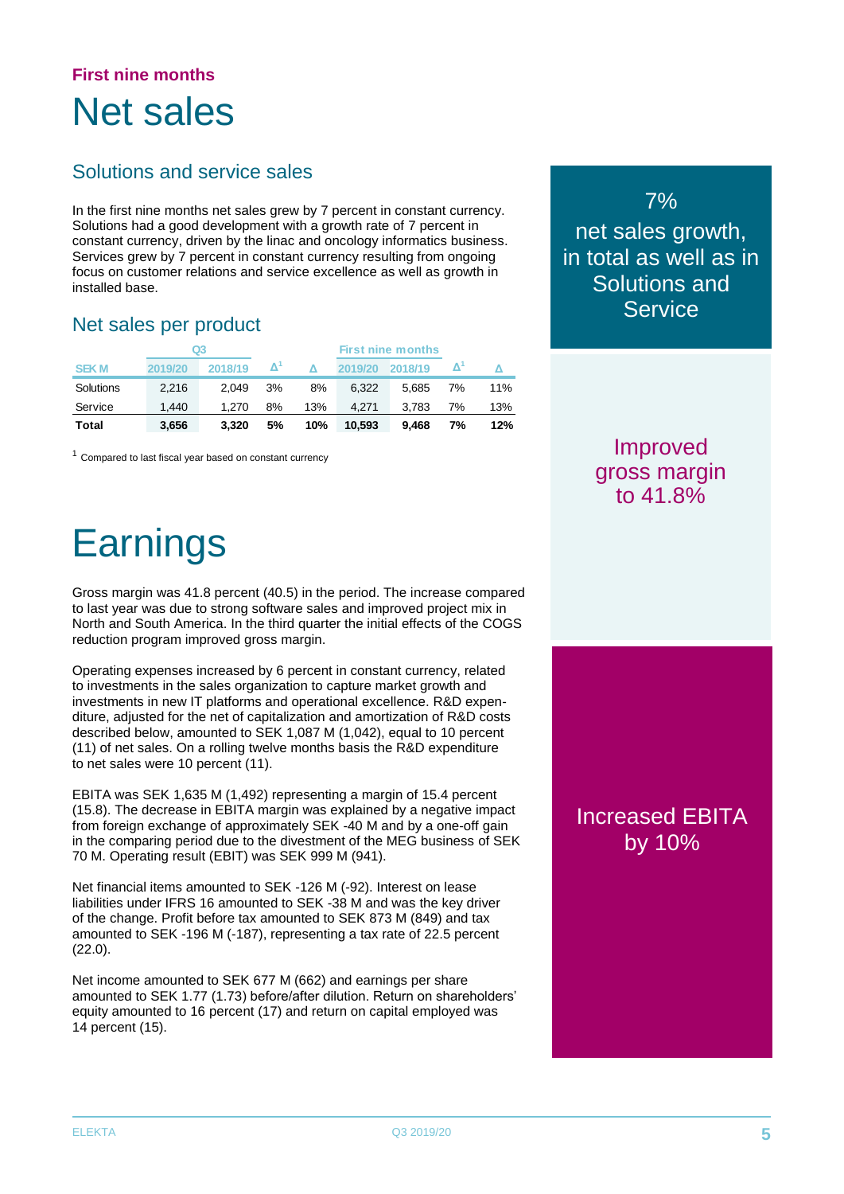### **First nine months** Net sales

### Solutions and service sales

In the first nine months net sales grew by 7 percent in constant currency. Solutions had a good development with a growth rate of 7 percent in constant currency, driven by the linac and oncology informatics business. Services grew by 7 percent in constant currency resulting from ongoing focus on customer relations and service excellence as well as growth in installed base.

### Net sales per product

|             |         | Q <sub>3</sub> |    |     |         | <b>First nine months</b> |    |     |
|-------------|---------|----------------|----|-----|---------|--------------------------|----|-----|
| <b>SEKM</b> | 2019/20 | 2018/19        |    |     | 2019/20 | 2018/19                  |    |     |
| Solutions   | 2.216   | 2.049          | 3% | 8%  | 6.322   | 5.685                    | 7% | 11% |
| Service     | 1.440   | 1.270          | 8% | 13% | 4.271   | 3.783                    | 7% | 13% |
| Total       | 3,656   | 3.320          | 5% | 10% | 10.593  | 9.468                    | 7% | 12% |

<sup>1</sup> Compared to last fiscal year based on constant currency

### 7%

net sales growth, in total as well as in Solutions and **Service** 

### Improved gross margin to 41.8%

## **Earnings**

Gross margin was 41.8 percent (40.5) in the period. The increase compared to last year was due to strong software sales and improved project mix in North and South America. In the third quarter the initial effects of the COGS reduction program improved gross margin.

Operating expenses increased by 6 percent in constant currency, related to investments in the sales organization to capture market growth and investments in new IT platforms and operational excellence. R&D expenditure, adjusted for the net of capitalization and amortization of R&D costs described below, amounted to SEK 1,087 M (1,042), equal to 10 percent (11) of net sales. On a rolling twelve months basis the R&D expenditure to net sales were 10 percent (11).

EBITA was SEK 1,635 M (1,492) representing a margin of 15.4 percent (15.8). The decrease in EBITA margin was explained by a negative impact from foreign exchange of approximately SEK -40 M and by a one-off gain in the comparing period due to the divestment of the MEG business of SEK 70 M. Operating result (EBIT) was SEK 999 M (941).

Net financial items amounted to SEK -126 M (-92). Interest on lease liabilities under IFRS 16 amounted to SEK -38 M and was the key driver of the change. Profit before tax amounted to SEK 873 M (849) and tax amounted to SEK -196 M (-187), representing a tax rate of 22.5 percent (22.0).

Net income amounted to SEK 677 M (662) and earnings per share amounted to SEK 1.77 (1.73) before/after dilution. Return on shareholders' equity amounted to 16 percent (17) and return on capital employed was 14 percent (15).

### Increased EBITA by 10%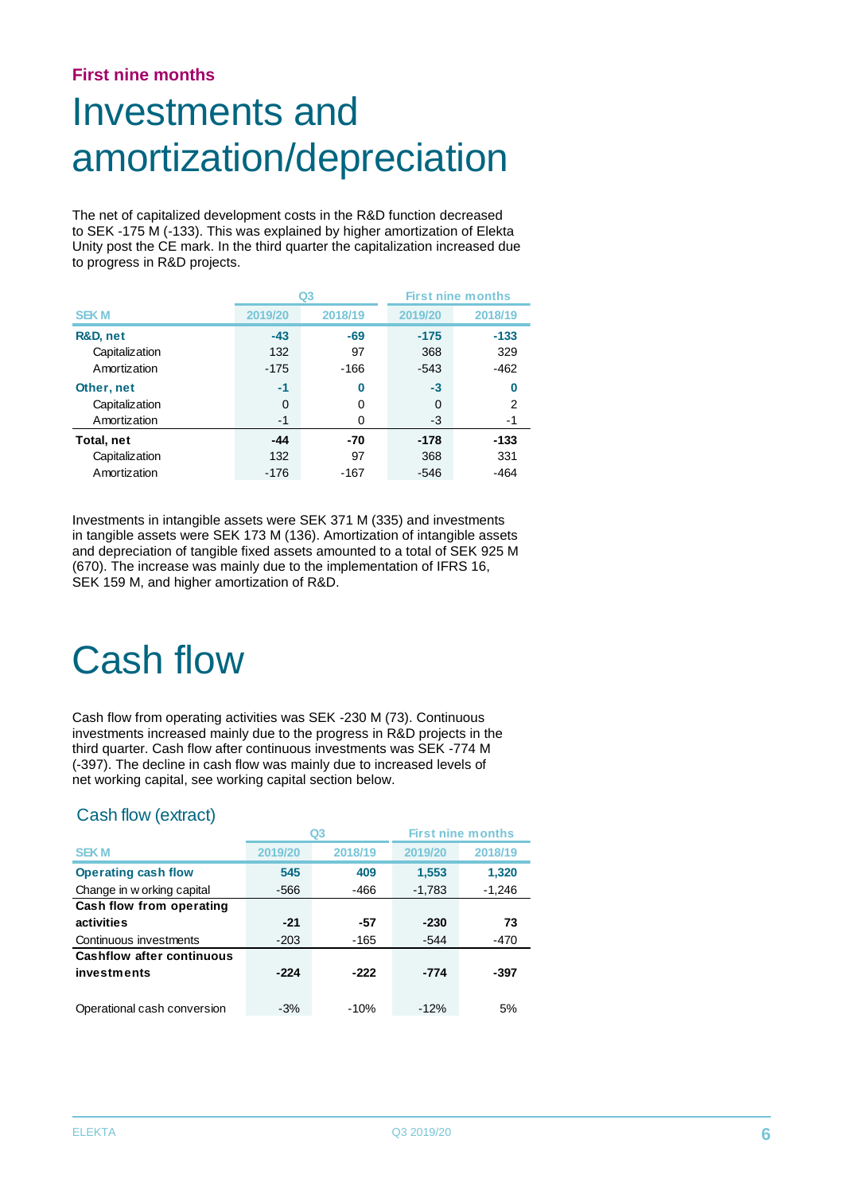### **First nine months**

### Investments and amortization/depreciation

The net of capitalized development costs in the R&D function decreased to SEK -175 M (-133). This was explained by higher amortization of Elekta Unity post the CE mark. In the third quarter the capitalization increased due to progress in R&D projects.

|                |          | Q3      |         | <b>First nine months</b> |
|----------------|----------|---------|---------|--------------------------|
| <b>SEK M</b>   | 2019/20  | 2018/19 | 2019/20 | 2018/19                  |
| R&D, net       | $-43$    | -69     | $-175$  | $-133$                   |
| Capitalization | 132      | 97      | 368     | 329                      |
| Amortization   | $-175$   | $-166$  | $-543$  | -462                     |
| Other, net     | $-1$     | 0       | $-3$    | 0                        |
| Capitalization | $\Omega$ | 0       | 0       | 2                        |
| Amortization   | -1       |         | -3      |                          |
| Total, net     | $-44$    | -70     | $-178$  | $-133$                   |
| Capitalization | 132      | 97      | 368     | 331                      |
| Amortization   | $-176$   | $-167$  | $-546$  | -464                     |

Investments in intangible assets were SEK 371 M (335) and investments in tangible assets were SEK 173 M (136). Amortization of intangible assets and depreciation of tangible fixed assets amounted to a total of SEK 925 M (670). The increase was mainly due to the implementation of IFRS 16, SEK 159 M, and higher amortization of R&D.

## Cash flow

Cash flow from operating activities was SEK -230 M (73). Continuous investments increased mainly due to the progress in R&D projects in the third quarter. Cash flow after continuous investments was SEK -774 M (-397). The decline in cash flow was mainly due to increased levels of net working capital, see working capital section below.

### Cash flow (extract)

|                                  |         | Q <sub>3</sub> |          | <b>First nine months</b> |
|----------------------------------|---------|----------------|----------|--------------------------|
| <b>SEK M</b>                     | 2019/20 | 2018/19        | 2019/20  | 2018/19                  |
| <b>Operating cash flow</b>       | 545     | 409            | 1,553    | 1,320                    |
| Change in w orking capital       | $-566$  | -466           | $-1,783$ | $-1,246$                 |
| Cash flow from operating         |         |                |          |                          |
| activities                       | $-21$   | -57            | $-230$   | 73                       |
| Continuous investments           | $-203$  | $-165$         | $-544$   | -470                     |
| <b>Cashflow after continuous</b> |         |                |          |                          |
| investments                      | $-224$  | $-222$         | $-774$   | -397                     |
|                                  |         |                |          |                          |
| Operational cash conversion      | $-3%$   | $-10%$         | $-12%$   | 5%                       |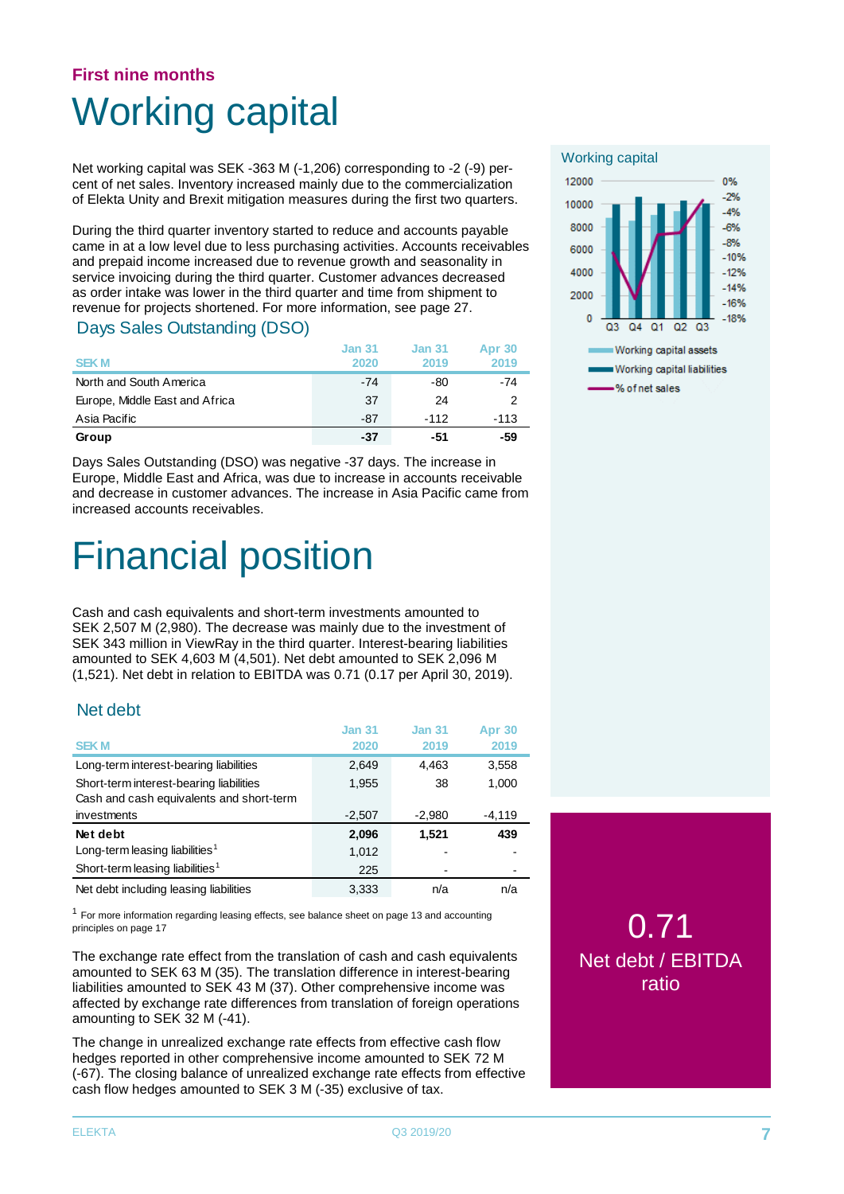### **First nine months** Working capital

Net working capital was SEK -363 M (-1,206) corresponding to -2 (-9) percent of net sales. Inventory increased mainly due to the commercialization of Elekta Unity and Brexit mitigation measures during the first two quarters.

During the third quarter inventory started to reduce and accounts payable came in at a low level due to less purchasing activities. Accounts receivables and prepaid income increased due to revenue growth and seasonality in service invoicing during the third quarter. Customer advances decreased as order intake was lower in the third quarter and time from shipment to revenue for projects shortened. For more information, see page 27.

#### Days Sales Outstanding (DSO)

| <b>SEKM</b>                    | <b>Jan 31</b><br>2020 | <b>Jan 31</b><br>2019 | <b>Apr 30</b><br>2019 |
|--------------------------------|-----------------------|-----------------------|-----------------------|
| North and South America        | $-74$                 | -80                   | -74                   |
| Europe, Middle East and Africa | 37                    | 24                    | 2                     |
| Asia Pacific                   | -87                   | $-112$                | $-113$                |
| Group                          | -37                   | -51                   | -59                   |

Days Sales Outstanding (DSO) was negative -37 days. The increase in Europe, Middle East and Africa, was due to increase in accounts receivable and decrease in customer advances. The increase in Asia Pacific came from increased accounts receivables.

### Financial position

Cash and cash equivalents and short-term investments amounted to SEK 2,507 M (2,980). The decrease was mainly due to the investment of SEK 343 million in ViewRay in the third quarter. Interest-bearing liabilities amounted to SEK 4,603 M (4,501). Net debt amounted to SEK 2,096 M (1,521). Net debt in relation to EBITDA was 0.71 (0.17 per April 30, 2019).

#### Net debt

| <b>SEKM</b>                                 | <b>Jan 31</b><br>2020 | <b>Jan 31</b><br>2019 | <b>Apr 30</b><br>2019 |
|---------------------------------------------|-----------------------|-----------------------|-----------------------|
| Long-term interest-bearing liabilities      | 2,649                 | 4.463                 | 3,558                 |
| Short-term interest-bearing liabilities     | 1,955                 | 38                    | 1,000                 |
| Cash and cash equivalents and short-term    |                       |                       |                       |
| investments                                 | $-2,507$              | $-2,980$              | $-4,119$              |
| Net debt                                    | 2,096                 | 1.521                 | 439                   |
| Long-term leasing liabilities <sup>1</sup>  | 1,012                 |                       |                       |
| Short-term leasing liabilities <sup>1</sup> | 225                   |                       |                       |
| Net debt including leasing liabilities      | 3.333                 | n/a                   | n/a                   |

 $1$  For more information regarding leasing effects, see balance sheet on page 13 and accounting principles on page 17

The exchange rate effect from the translation of cash and cash equivalents amounted to SEK 63 M (35). The translation difference in interest-bearing liabilities amounted to SEK 43 M (37). Other comprehensive income was affected by exchange rate differences from translation of foreign operations amounting to SEK 32 M (-41).

The change in unrealized exchange rate effects from effective cash flow hedges reported in other comprehensive income amounted to SEK 72 M (-67). The closing balance of unrealized exchange rate effects from effective cash flow hedges amounted to SEK 3 M (-35) exclusive of tax.

#### Working capital 12000 0%  $-2%$ 10000  $-4%$ 8000  $-6%$  $-8%$ 6000  $-10%$ 4000  $-12%$  $-14%$ 2000  $-16%$  $-18%$  $\mathbf{0}$ Q<sub>3</sub>  $Q<sub>4</sub>$  $Q<sub>1</sub>$  $Q<sub>2</sub>$  $Q<sub>3</sub>$



0.71 Net debt / EBITDA ratio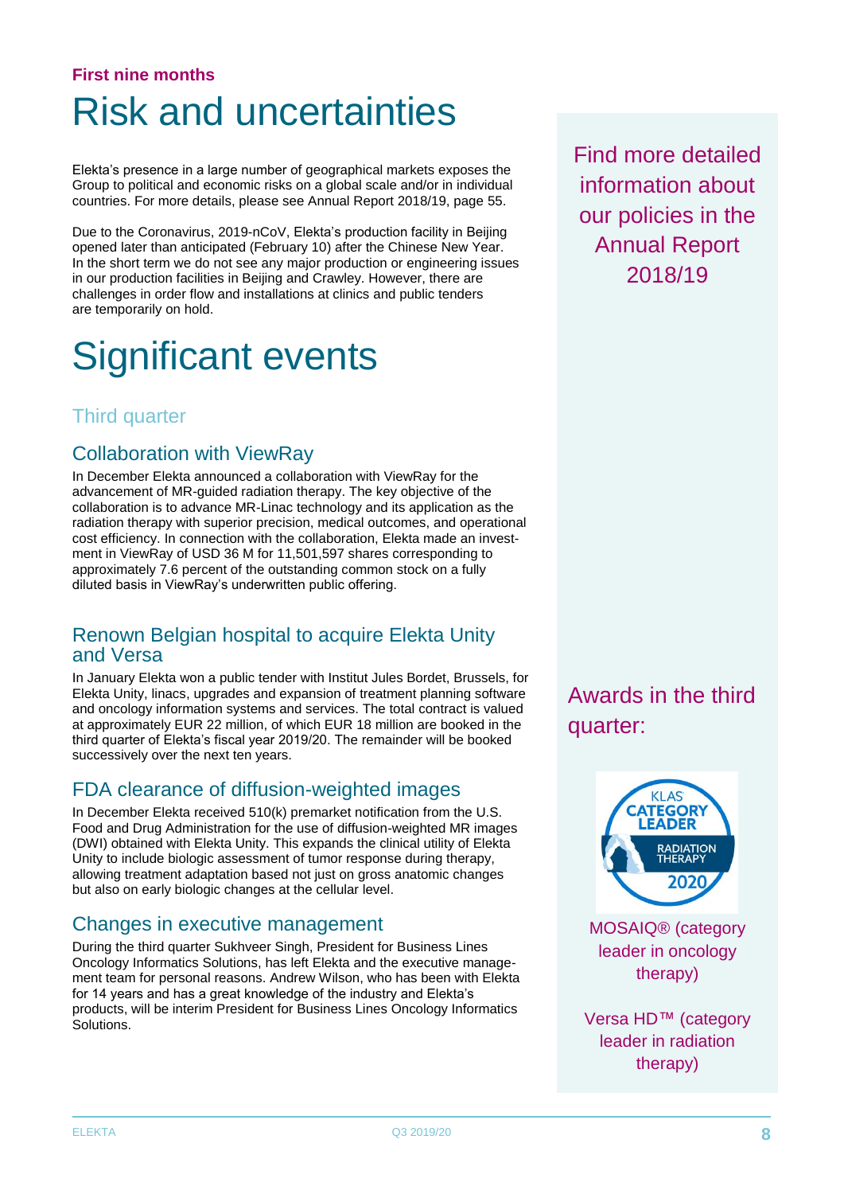### **First nine months** Risk and uncertainties

Elekta's presence in a large number of geographical markets exposes the Group to political and economic risks on a global scale and/or in individual countries. For more details, please see Annual Report 2018/19, page 55.

Due to the Coronavirus, 2019-nCoV, Elekta's production facility in Beijing opened later than anticipated (February 10) after the Chinese New Year. In the short term we do not see any major production or engineering issues in our production facilities in Beijing and Crawley. However, there are challenges in order flow and installations at clinics and public tenders are temporarily on hold.

## Significant events

### Third quarter

### Collaboration with ViewRay

In December Elekta announced a collaboration with ViewRay for the advancement of MR-guided radiation therapy. The key objective of the collaboration is to advance MR-Linac technology and its application as the radiation therapy with superior precision, medical outcomes, and operational cost efficiency. In connection with the collaboration, Elekta made an investment in ViewRay of USD 36 M for 11,501,597 shares corresponding to approximately 7.6 percent of the outstanding common stock on a fully diluted basis in ViewRay's underwritten public offering.

### Renown Belgian hospital to acquire Elekta Unity and Versa

In January Elekta won a public tender with Institut Jules Bordet, Brussels, for Elekta Unity, linacs, upgrades and expansion of treatment planning software and oncology information systems and services. The total contract is valued at approximately EUR 22 million, of which EUR 18 million are booked in the third quarter of Elekta's fiscal year 2019/20. The remainder will be booked successively over the next ten years.

### FDA clearance of diffusion-weighted images

In December Elekta received 510(k) premarket notification from the U.S. Food and Drug Administration for the use of diffusion-weighted MR images (DWI) obtained with Elekta Unity. This expands the clinical utility of Elekta Unity to include biologic assessment of tumor response during therapy, allowing treatment adaptation based not just on gross anatomic changes but also on early biologic changes at the cellular level.

### Changes in executive management

During the third quarter Sukhveer Singh, President for Business Lines Oncology Informatics Solutions, has left Elekta and the executive management team for personal reasons. Andrew Wilson, who has been with Elekta for 14 years and has a great knowledge of the industry and Elekta's products, will be interim President for Business Lines Oncology Informatics Solutions.

Find more detailed information about our policies in the Annual Report 2018/19

Awards in the third quarter:



MOSAIQ® (category leader in oncology therapy)

Versa HD™ (category leader in radiation therapy)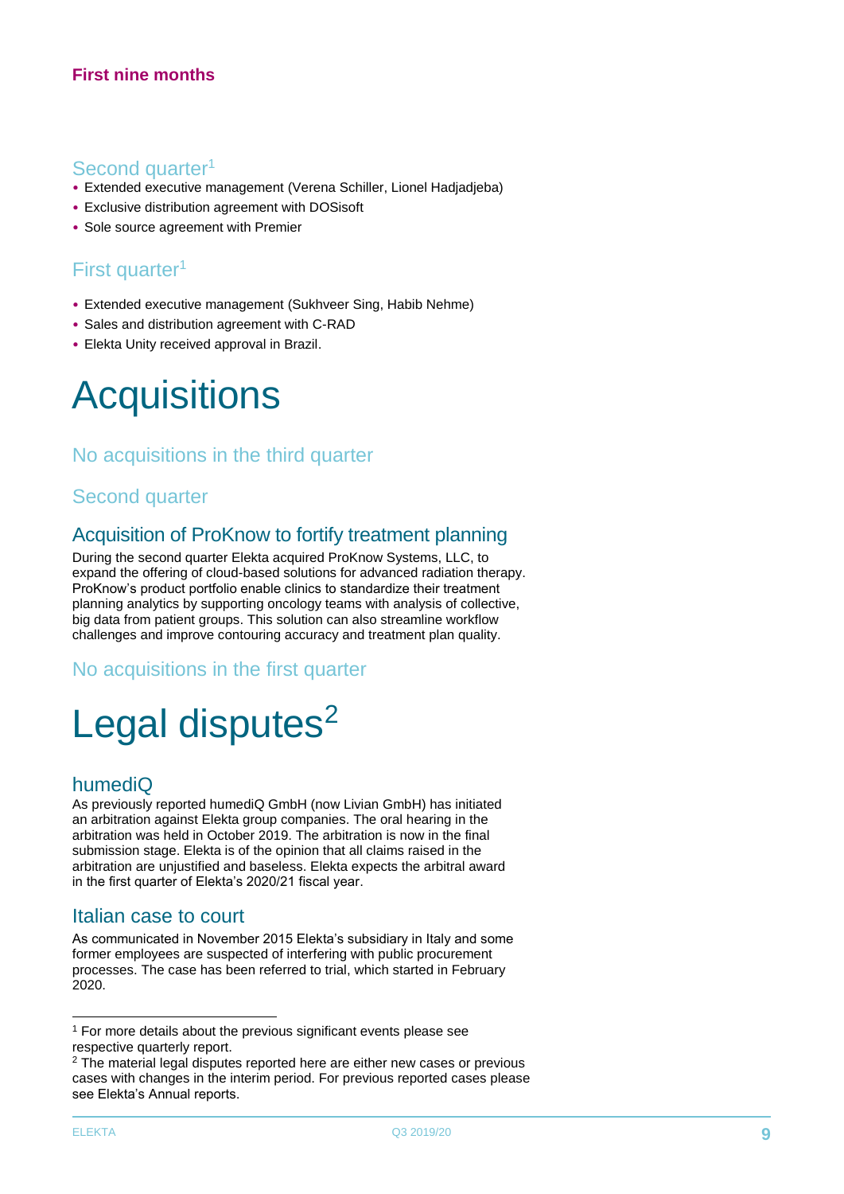### **First nine months**

### Second quarter<sup>1</sup>

- Extended executive management (Verena Schiller, Lionel Hadjadjeba)
- Exclusive distribution agreement with DOSisoft
- Sole source agreement with Premier

### First quarter<sup>1</sup>

- Extended executive management (Sukhveer Sing, Habib Nehme)
- Sales and distribution agreement with C-RAD
- Elekta Unity received approval in Brazil.

## **Acquisitions**

### No acquisitions in the third quarter

### Second quarter

### Acquisition of ProKnow to fortify treatment planning

During the second quarter Elekta acquired ProKnow Systems, LLC, to expand the offering of cloud-based solutions for advanced radiation therapy. ProKnow's product portfolio enable clinics to standardize their treatment planning analytics by supporting oncology teams with analysis of collective, big data from patient groups. This solution can also streamline workflow challenges and improve contouring accuracy and treatment plan quality.

### No acquisitions in the first quarter

## Legal disputes<sup>2</sup>

### humediQ

As previously reported humediQ GmbH (now Livian GmbH) has initiated an arbitration against Elekta group companies. The oral hearing in the arbitration was held in October 2019. The arbitration is now in the final submission stage. Elekta is of the opinion that all claims raised in the arbitration are unjustified and baseless. Elekta expects the arbitral award in the first quarter of Elekta's 2020/21 fiscal year.

### Italian case to court

As communicated in November 2015 Elekta's subsidiary in Italy and some former employees are suspected of interfering with public procurement processes. The case has been referred to trial, which started in February 2020.

-

 $1$  For more details about the previous significant events please see respective quarterly report.

<sup>&</sup>lt;sup>2</sup> The material legal disputes reported here are either new cases or previous cases with changes in the interim period. For previous reported cases please see Elekta's Annual reports.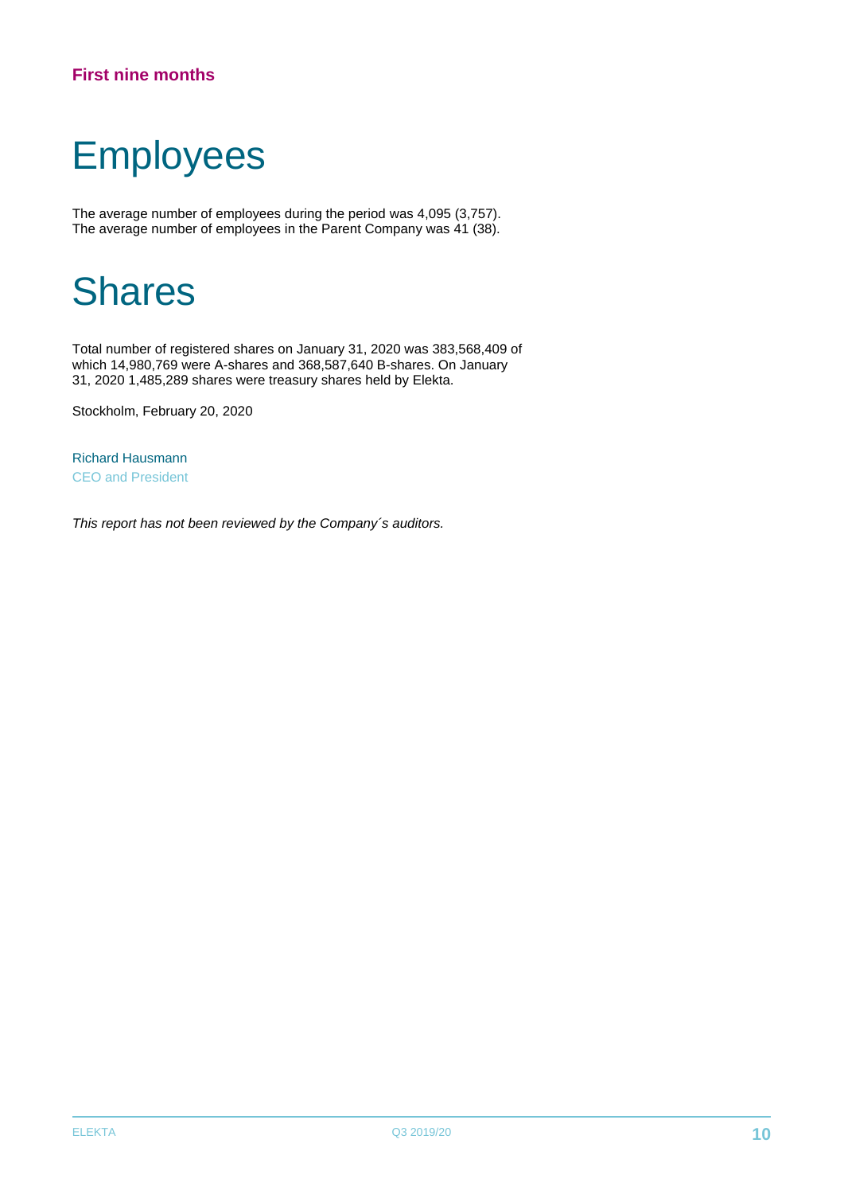### **First nine months**

## **Employees**

The average number of employees during the period was 4,095 (3,757). The average number of employees in the Parent Company was 41 (38).

### **Shares**

Total number of registered shares on January 31, 2020 was 383,568,409 of which 14,980,769 were A-shares and 368,587,640 B-shares. On January 31, 2020 1,485,289 shares were treasury shares held by Elekta.

Stockholm, February 20, 2020

Richard Hausmann CEO and President

*This report has not been reviewed by the Company´s auditors.*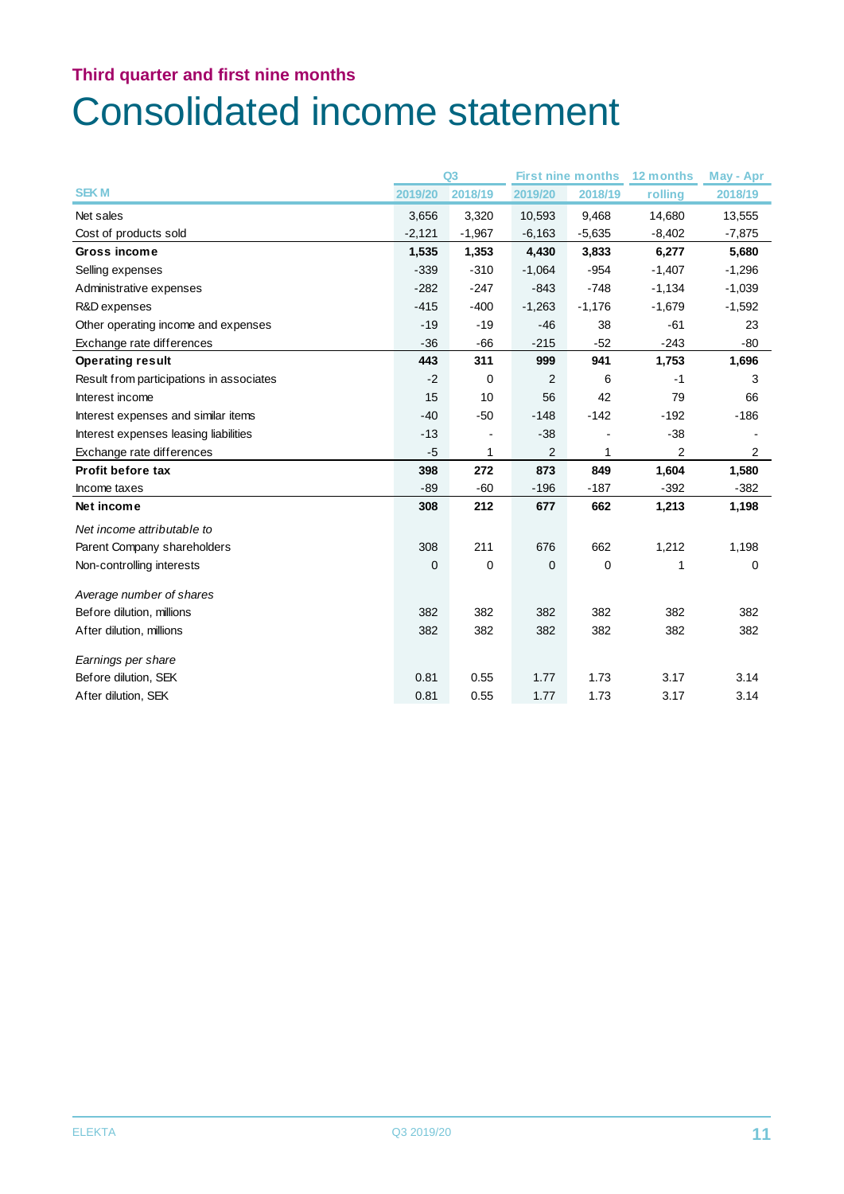### Consolidated income statement

|                                          |             | Q <sub>3</sub> |          | <b>First nine months</b> | 12 months | May - Apr      |
|------------------------------------------|-------------|----------------|----------|--------------------------|-----------|----------------|
| <b>SEKM</b>                              | 2019/20     | 2018/19        | 2019/20  | 2018/19                  | rolling   | 2018/19        |
| Net sales                                | 3,656       | 3,320          | 10,593   | 9,468                    | 14,680    | 13,555         |
| Cost of products sold                    | $-2,121$    | $-1,967$       | $-6,163$ | $-5,635$                 | $-8,402$  | $-7,875$       |
| Gross income                             | 1,535       | 1,353          | 4,430    | 3,833                    | 6,277     | 5,680          |
| Selling expenses                         | $-339$      | $-310$         | $-1,064$ | $-954$                   | $-1,407$  | $-1,296$       |
| Administrative expenses                  | $-282$      | $-247$         | $-843$   | $-748$                   | $-1,134$  | $-1,039$       |
| R&D expenses                             | $-415$      | $-400$         | $-1,263$ | $-1,176$                 | $-1,679$  | $-1,592$       |
| Other operating income and expenses      | $-19$       | $-19$          | $-46$    | 38                       | $-61$     | 23             |
| Exchange rate differences                | $-36$       | $-66$          | $-215$   | $-52$                    | $-243$    | $-80$          |
| <b>Operating result</b>                  | 443         | 311            | 999      | 941                      | 1,753     | 1,696          |
| Result from participations in associates | $-2$        | 0              | 2        | 6                        | $-1$      | 3              |
| Interest income                          | 15          | 10             | 56       | 42                       | 79        | 66             |
| Interest expenses and similar items      | $-40$       | $-50$          | $-148$   | $-142$                   | $-192$    | $-186$         |
| Interest expenses leasing liabilities    | $-13$       |                | $-38$    |                          | $-38$     |                |
| Exchange rate differences                | $-5$        | 1              | 2        | 1                        | 2         | $\overline{2}$ |
| Profit before tax                        | 398         | 272            | 873      | 849                      | 1,604     | 1,580          |
| Income taxes                             | $-89$       | $-60$          | $-196$   | $-187$                   | $-392$    | $-382$         |
| Net income                               | 308         | 212            | 677      | 662                      | 1,213     | 1,198          |
| Net income attributable to               |             |                |          |                          |           |                |
| Parent Company shareholders              | 308         | 211            | 676      | 662                      | 1,212     | 1,198          |
| Non-controlling interests                | $\mathbf 0$ | $\mathbf 0$    | 0        | 0                        | 1         | 0              |
| Average number of shares                 |             |                |          |                          |           |                |
| Before dilution, millions                | 382         | 382            | 382      | 382                      | 382       | 382            |
| After dilution, millions                 | 382         | 382            | 382      | 382                      | 382       | 382            |
| Earnings per share                       |             |                |          |                          |           |                |
| Before dilution, SEK                     | 0.81        | 0.55           | 1.77     | 1.73                     | 3.17      | 3.14           |
| After dilution, SEK                      | 0.81        | 0.55           | 1.77     | 1.73                     | 3.17      | 3.14           |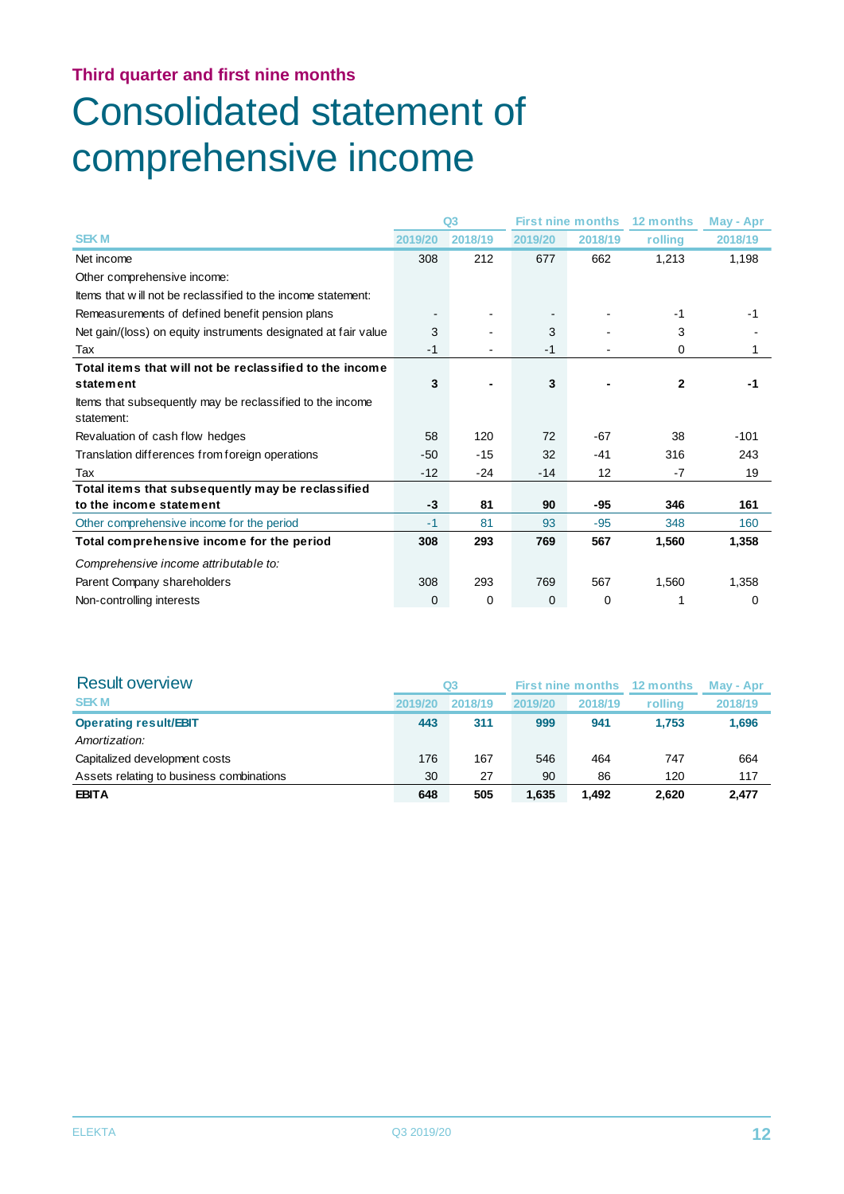## Consolidated statement of comprehensive income

|                                                                         |         | Q3      |             | <b>First nine months</b> | 12 months    | May - Apr |
|-------------------------------------------------------------------------|---------|---------|-------------|--------------------------|--------------|-----------|
| <b>SEK M</b>                                                            | 2019/20 | 2018/19 | 2019/20     | 2018/19                  | rolling      | 2018/19   |
| Net income                                                              | 308     | 212     | 677         | 662                      | 1,213        | 1,198     |
| Other comprehensive income:                                             |         |         |             |                          |              |           |
| Items that will not be reclassified to the income statement:            |         |         |             |                          |              |           |
| Remeasurements of defined benefit pension plans                         |         |         |             |                          | $-1$         | $-1$      |
| Net gain/(loss) on equity instruments designated at fair value          | 3       |         | 3           |                          | 3            |           |
| Tax                                                                     | $-1$    |         | $-1$        |                          | 0            |           |
| Total items that will not be reclassified to the income                 |         |         |             |                          |              |           |
| statement                                                               | 3       |         | 3           |                          | $\mathbf{2}$ | -1        |
| Items that subsequently may be reclassified to the income<br>statement: |         |         |             |                          |              |           |
| Revaluation of cash flow hedges                                         | 58      | 120     | 72          | $-67$                    | 38           | $-101$    |
| Translation differences from foreign operations                         | $-50$   | $-15$   | 32          | $-41$                    | 316          | 243       |
| Tax                                                                     | $-12$   | -24     | $-14$       | 12                       | -7           | 19        |
| Total items that subsequently may be reclassified                       |         |         |             |                          |              |           |
| to the income statement                                                 | $-3$    | 81      | 90          | -95                      | 346          | 161       |
| Other comprehensive income for the period                               | $-1$    | 81      | 93          | $-95$                    | 348          | 160       |
| Total comprehensive income for the period                               | 308     | 293     | 769         | 567                      | 1,560        | 1,358     |
| Comprehensive income attributable to:                                   |         |         |             |                          |              |           |
| Parent Company shareholders                                             | 308     | 293     | 769         | 567                      | 1,560        | 1,358     |
| Non-controlling interests                                               | 0       | 0       | $\mathbf 0$ | 0                        |              | 0         |

| <b>Result overview</b>                   |         | Q3      |         |         | First nine months 12 months | May - Apr |
|------------------------------------------|---------|---------|---------|---------|-----------------------------|-----------|
| <b>SEKM</b>                              | 2019/20 | 2018/19 | 2019/20 | 2018/19 | rollina                     | 2018/19   |
| <b>Operating result/EBIT</b>             | 443     | 311     | 999     | 941     | 1.753                       | 1.696     |
| Amortization:                            |         |         |         |         |                             |           |
| Capitalized development costs            | 176     | 167     | 546     | 464     | 747                         | 664       |
| Assets relating to business combinations | 30      | 27      | 90      | 86      | 120                         | 117       |
| <b>EBITA</b>                             | 648     | 505     | 1,635   | 1.492   | 2.620                       | 2.477     |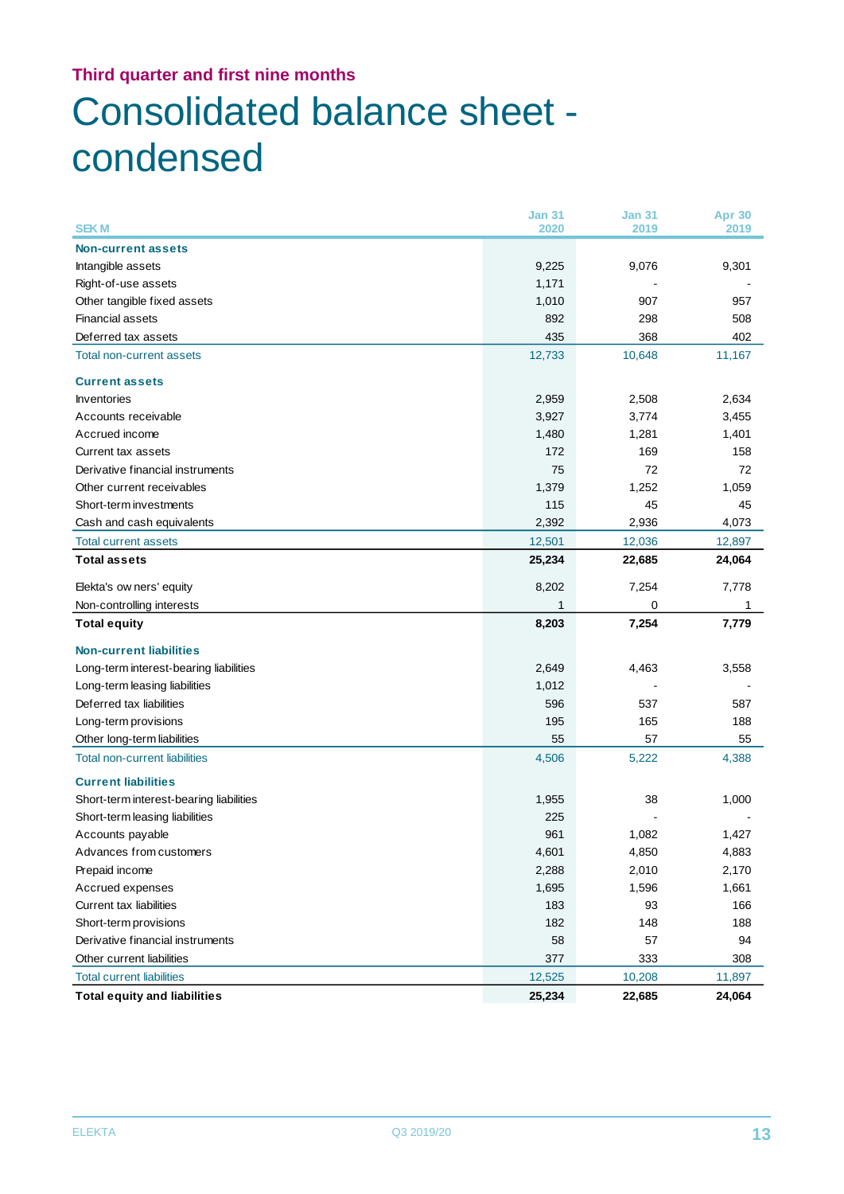### **Third quarter and first nine months** Consolidated balance sheet condensed

| <b>SEKM</b>                             | <b>Jan 31</b><br>2020 | <b>Jan 31</b><br>2019 | <b>Apr 30</b><br>2019 |
|-----------------------------------------|-----------------------|-----------------------|-----------------------|
| Non-current assets                      |                       |                       |                       |
| Intangible assets                       | 9,225                 | 9,076                 | 9,301                 |
| Right-of-use assets                     | 1,171                 |                       |                       |
| Other tangible fixed assets             | 1,010                 | 907                   | 957                   |
| <b>Financial assets</b>                 | 892                   | 298                   | 508                   |
| Deferred tax assets                     | 435                   | 368                   | 402                   |
| <b>Total non-current assets</b>         | 12,733                | 10,648                | 11,167                |
| <b>Current assets</b>                   |                       |                       |                       |
| <b>Inventories</b>                      | 2,959                 | 2,508                 | 2,634                 |
| Accounts receivable                     | 3,927                 | 3,774                 | 3,455                 |
| Accrued income                          | 1,480                 | 1,281                 | 1,401                 |
| Current tax assets                      | 172                   | 169                   | 158                   |
| Derivative financial instruments        | 75                    | 72                    | 72                    |
| Other current receivables               | 1,379                 | 1,252                 | 1,059                 |
| Short-term investments                  | 115                   | 45                    | 45                    |
| Cash and cash equivalents               | 2,392                 | 2,936                 | 4,073                 |
| <b>Total current assets</b>             | 12,501                | 12,036                | 12,897                |
| <b>Total assets</b>                     | 25,234                | 22,685                | 24,064                |
| Elekta's ow ners' equity                | 8,202                 | 7,254                 | 7,778                 |
| Non-controlling interests               | $\mathbf{1}$          | 0                     | 1                     |
| <b>Total equity</b>                     | 8,203                 | 7,254                 | 7,779                 |
| <b>Non-current liabilities</b>          |                       |                       |                       |
| Long-term interest-bearing liabilities  | 2,649                 | 4,463                 | 3,558                 |
| Long-term leasing liabilities           | 1,012                 |                       |                       |
| Deferred tax liabilities                | 596                   | 537                   | 587                   |
| Long-term provisions                    | 195                   | 165                   | 188                   |
| Other long-term liabilities             | 55                    | 57                    | 55                    |
| <b>Total non-current liabilities</b>    | 4,506                 | 5,222                 | 4,388                 |
| <b>Current liabilities</b>              |                       |                       |                       |
| Short-term interest-bearing liabilities | 1,955                 | 38                    | 1,000                 |
| Short-term leasing liabilities          | 225                   |                       |                       |
| Accounts payable                        |                       |                       |                       |
| Advances from customers                 | 961                   | 1,082                 | 1,427                 |
|                                         | 4,601                 | 4,850                 | 4,883                 |
| Prepaid income                          | 2,288                 | 2,010                 | 2,170                 |
| Accrued expenses                        | 1,695                 | 1,596                 | 1,661                 |
| Current tax liabilities                 | 183                   | 93                    | 166                   |
| Short-term provisions                   | 182                   | 148                   | 188                   |
| Derivative financial instruments        | 58                    | 57                    | 94                    |
| Other current liabilities               | 377                   | 333                   | 308                   |
| <b>Total current liabilities</b>        | 12,525                | 10,208                | 11,897                |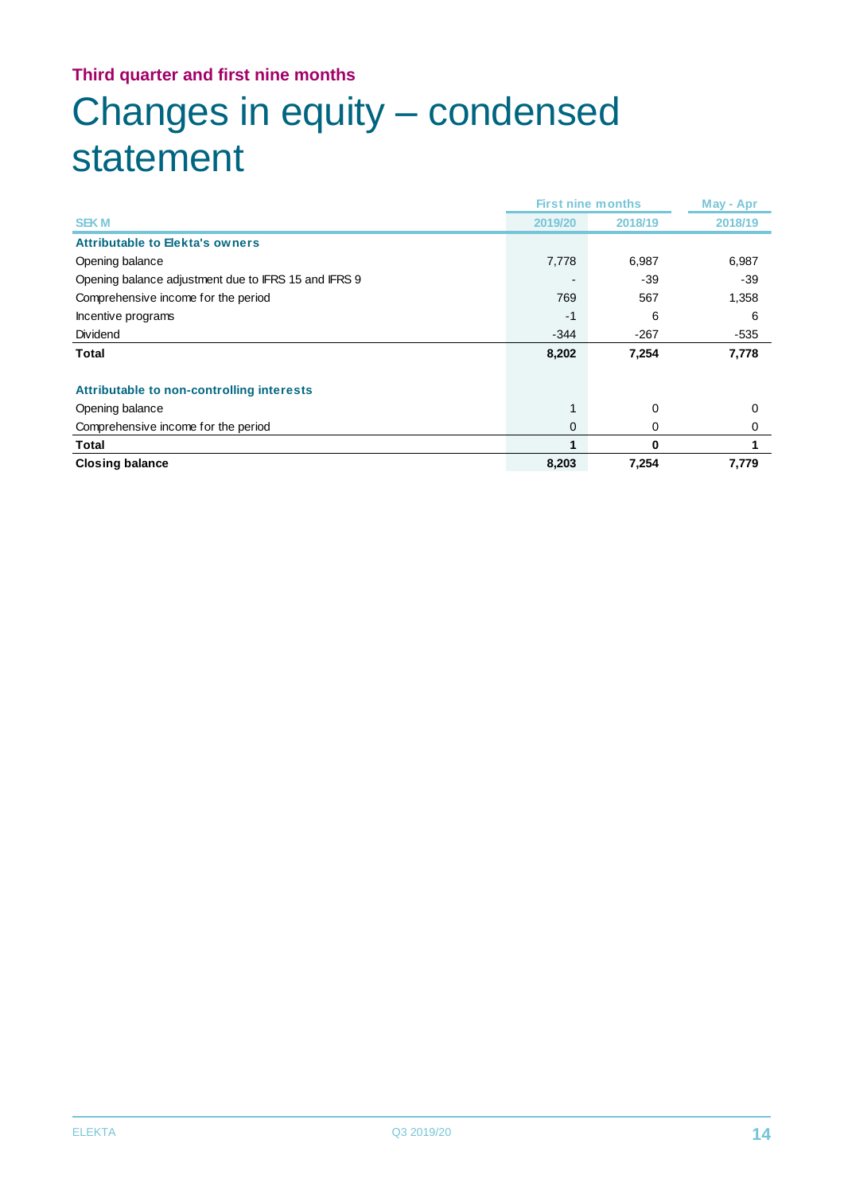## Changes in equity – condensed statement

|                                                      |         | <b>First nine months</b> | May - Apr |
|------------------------------------------------------|---------|--------------------------|-----------|
| <b>SEKM</b>                                          | 2019/20 | 2018/19                  | 2018/19   |
| <b>Attributable to Elekta's owners</b>               |         |                          |           |
| Opening balance                                      | 7,778   | 6,987                    | 6,987     |
| Opening balance adjustment due to IFRS 15 and IFRS 9 |         | -39                      | -39       |
| Comprehensive income for the period                  | 769     | 567                      | 1,358     |
| Incentive programs                                   | $-1$    | 6                        | 6         |
| Dividend                                             | $-344$  | $-267$                   | $-535$    |
| <b>Total</b>                                         | 8,202   | 7,254                    | 7,778     |
| Attributable to non-controlling interests            |         |                          |           |
| Opening balance                                      | 1       | 0                        | 0         |
| Comprehensive income for the period                  | 0       | 0                        | 0         |
| Total                                                |         | 0                        |           |
| <b>Closing balance</b>                               | 8,203   | 7,254                    | 7,779     |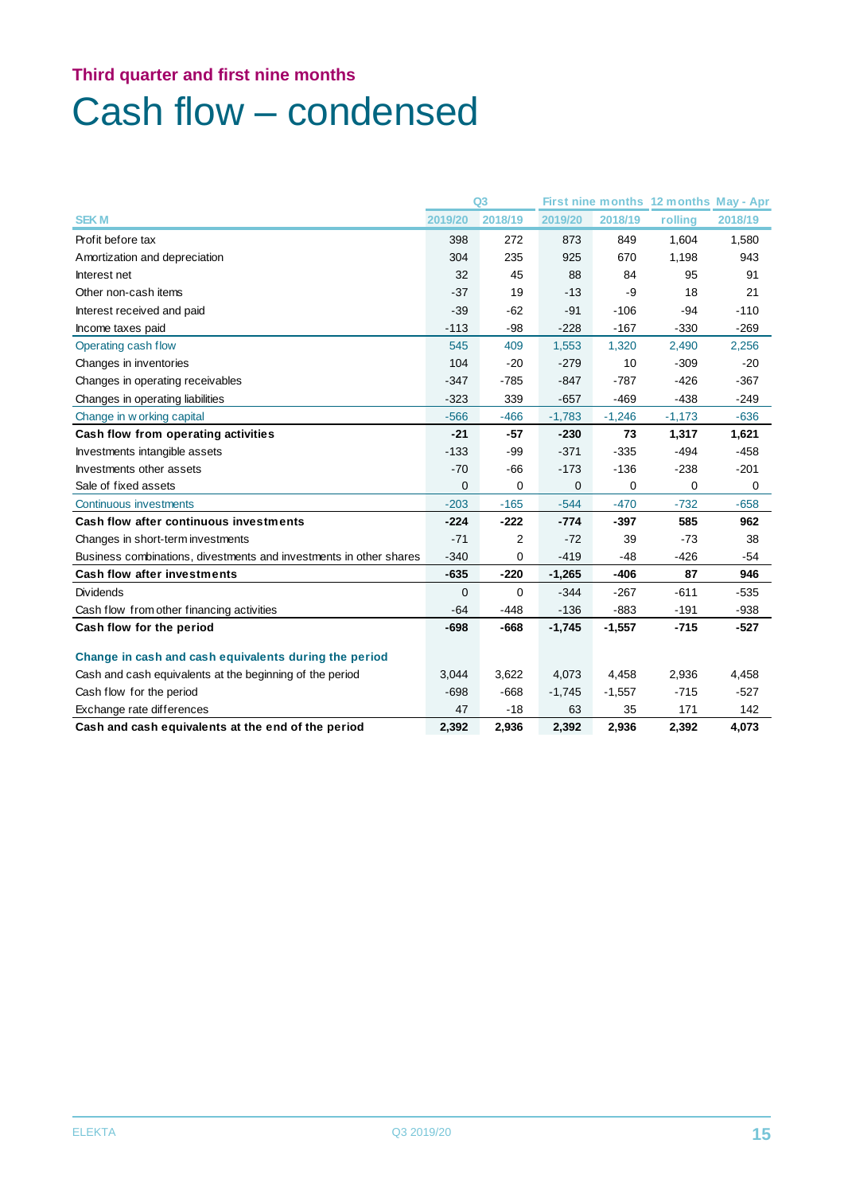### Cash flow – condensed

|                                                                    |          | Q3       |          |          | First nine months 12 months May - Apr |         |
|--------------------------------------------------------------------|----------|----------|----------|----------|---------------------------------------|---------|
| <b>SEKM</b>                                                        | 2019/20  | 2018/19  | 2019/20  | 2018/19  | rolling                               | 2018/19 |
| Profit before tax                                                  | 398      | 272      | 873      | 849      | 1,604                                 | 1,580   |
| Amortization and depreciation                                      | 304      | 235      | 925      | 670      | 1,198                                 | 943     |
| Interest net                                                       | 32       | 45       | 88       | 84       | 95                                    | 91      |
| Other non-cash items                                               | $-37$    | 19       | $-13$    | -9       | 18                                    | 21      |
| Interest received and paid                                         | $-39$    | $-62$    | $-91$    | $-106$   | $-94$                                 | $-110$  |
| Income taxes paid                                                  | $-113$   | $-98$    | $-228$   | $-167$   | $-330$                                | $-269$  |
| Operating cash flow                                                | 545      | 409      | 1,553    | 1,320    | 2,490                                 | 2,256   |
| Changes in inventories                                             | 104      | $-20$    | $-279$   | 10       | $-309$                                | $-20$   |
| Changes in operating receivables                                   | $-347$   | $-785$   | $-847$   | $-787$   | $-426$                                | $-367$  |
| Changes in operating liabilities                                   | $-323$   | 339      | $-657$   | $-469$   | $-438$                                | $-249$  |
| Change in w orking capital                                         | $-566$   | $-466$   | $-1,783$ | $-1,246$ | $-1,173$                              | $-636$  |
| Cash flow from operating activities                                | $-21$    | $-57$    | $-230$   | 73       | 1,317                                 | 1,621   |
| Investments intangible assets                                      | $-133$   | -99      | $-371$   | $-335$   | $-494$                                | $-458$  |
| Investments other assets                                           | $-70$    | $-66$    | $-173$   | $-136$   | $-238$                                | $-201$  |
| Sale of fixed assets                                               | 0        | 0        | 0        | 0        | 0                                     | 0       |
| Continuous investments                                             | $-203$   | $-165$   | $-544$   | $-470$   | $-732$                                | $-658$  |
| <b>Cash flow after continuous investments</b>                      | $-224$   | $-222$   | $-774$   | $-397$   | 585                                   | 962     |
| Changes in short-term investments                                  | $-71$    | 2        | $-72$    | 39       | $-73$                                 | 38      |
| Business combinations, divestments and investments in other shares | $-340$   | 0        | $-419$   | $-48$    | $-426$                                | $-54$   |
| <b>Cash flow after investments</b>                                 | $-635$   | $-220$   | $-1,265$ | $-406$   | 87                                    | 946     |
| <b>Dividends</b>                                                   | $\Omega$ | $\Omega$ | $-344$   | $-267$   | $-611$                                | $-535$  |
| Cash flow from other financing activities                          | $-64$    | $-448$   | $-136$   | $-883$   | $-191$                                | $-938$  |
| Cash flow for the period                                           | $-698$   | $-668$   | $-1,745$ | $-1,557$ | $-715$                                | $-527$  |
| Change in cash and cash equivalents during the period              |          |          |          |          |                                       |         |
| Cash and cash equivalents at the beginning of the period           | 3,044    | 3,622    | 4,073    | 4,458    | 2,936                                 | 4,458   |
| Cash flow for the period                                           | $-698$   | $-668$   | $-1,745$ | $-1,557$ | $-715$                                | $-527$  |
| Exchange rate differences                                          | 47       | $-18$    | 63       | 35       | 171                                   | 142     |
| Cash and cash equivalents at the end of the period                 | 2,392    | 2,936    | 2,392    | 2,936    | 2,392                                 | 4,073   |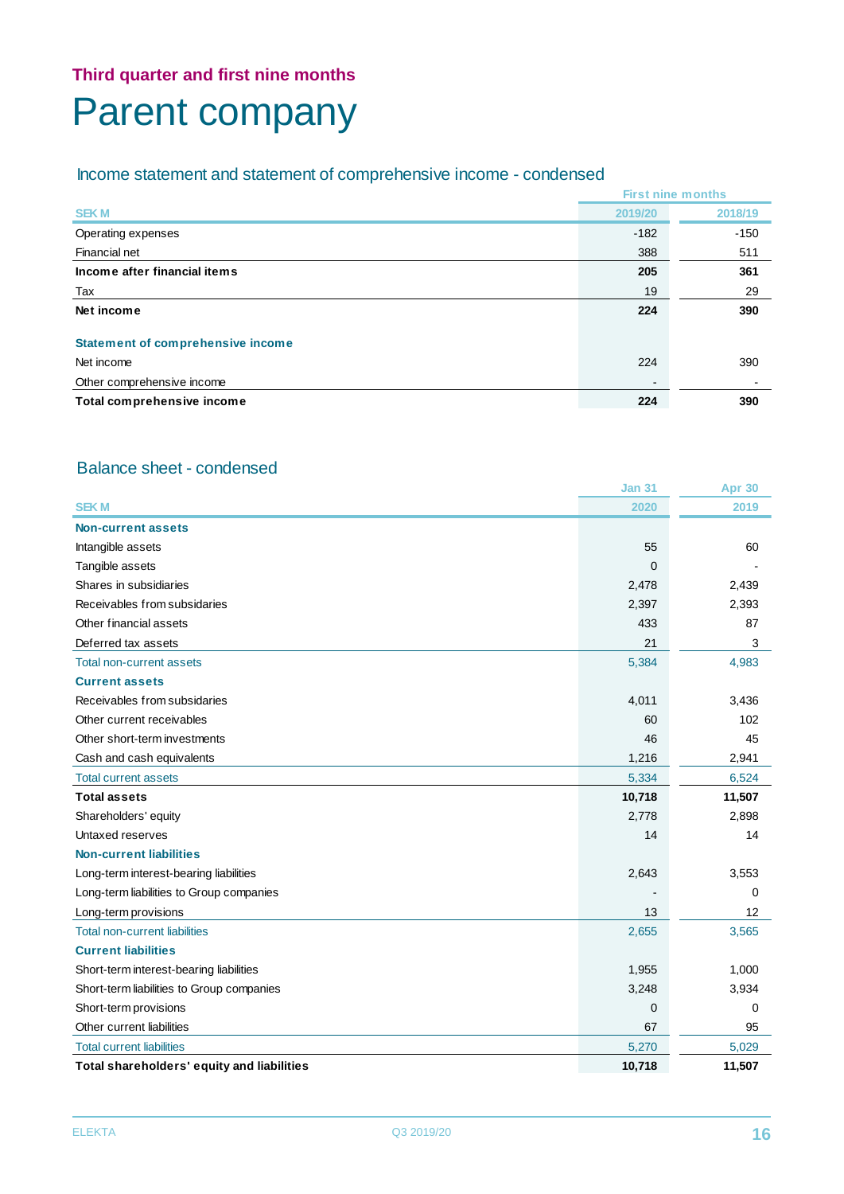### **Third quarter and first nine months** Parent company

### Income statement and statement of comprehensive income - condensed

|                                                        |                | <b>First nine months</b> |
|--------------------------------------------------------|----------------|--------------------------|
| <b>SEKM</b>                                            | 2019/20        | 2018/19                  |
| Operating expenses                                     | $-182$         | $-150$                   |
| Financial net                                          | 388            | 511                      |
| Income after financial items                           | 205            | 361                      |
| Tax                                                    | 19             | 29                       |
| Net income                                             | 224            | 390                      |
| <b>Statement of comprehensive income</b><br>Net income | 224            | 390                      |
| Other comprehensive income                             | $\blacksquare$ |                          |
| Total comprehensive income                             | 224            | 390                      |

### Balance sheet - condensed

|                                            | <b>Jan 31</b> | <b>Apr 30</b> |
|--------------------------------------------|---------------|---------------|
| <b>SEKM</b>                                | 2020          | 2019          |
| <b>Non-current assets</b>                  |               |               |
| Intangible assets                          | 55            | 60            |
| Tangible assets                            | $\Omega$      |               |
| Shares in subsidiaries                     | 2,478         | 2,439         |
| Receivables from subsidaries               | 2,397         | 2,393         |
| Other financial assets                     | 433           | 87            |
| Deferred tax assets                        | 21            | 3             |
| Total non-current assets                   | 5,384         | 4,983         |
| <b>Current assets</b>                      |               |               |
| Receivables from subsidaries               | 4,011         | 3,436         |
| Other current receivables                  | 60            | 102           |
| Other short-term investments               | 46            | 45            |
| Cash and cash equivalents                  | 1,216         | 2,941         |
| <b>Total current assets</b>                | 5,334         | 6,524         |
| <b>Total assets</b>                        | 10,718        | 11,507        |
| Shareholders' equity                       | 2,778         | 2,898         |
| Untaxed reserves                           | 14            | 14            |
| <b>Non-current liabilities</b>             |               |               |
| Long-term interest-bearing liabilities     | 2,643         | 3,553         |
| Long-term liabilities to Group companies   |               | 0             |
| Long-term provisions                       | 13            | 12            |
| <b>Total non-current liabilities</b>       | 2,655         | 3,565         |
| <b>Current liabilities</b>                 |               |               |
| Short-term interest-bearing liabilities    | 1,955         | 1,000         |
| Short-term liabilities to Group companies  | 3,248         | 3,934         |
| Short-term provisions                      | 0             | $\Omega$      |
| Other current liabilities                  | 67            | 95            |
| <b>Total current liabilities</b>           | 5,270         | 5,029         |
| Total shareholders' equity and liabilities | 10,718        | 11,507        |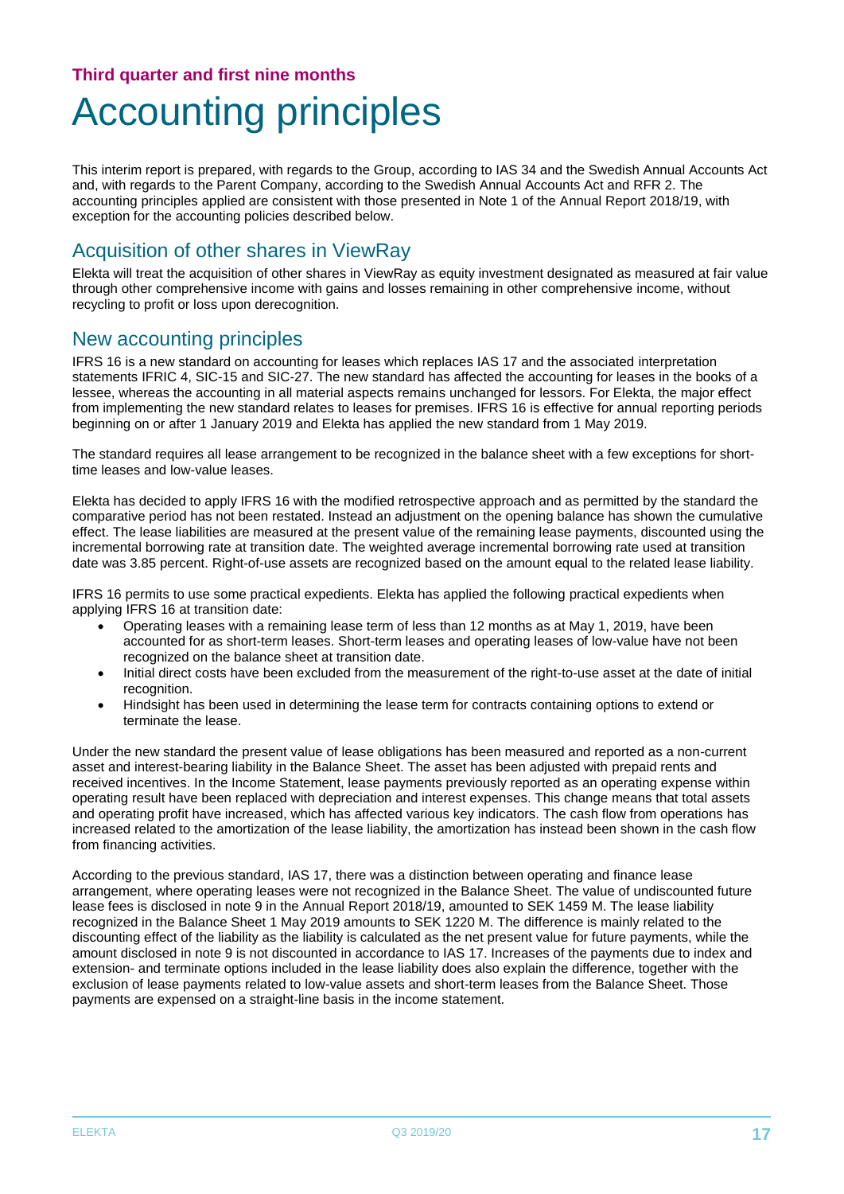### Accounting principles

This interim report is prepared, with regards to the Group, according to IAS 34 and the Swedish Annual Accounts Act and, with regards to the Parent Company, according to the Swedish Annual Accounts Act and RFR 2. The accounting principles applied are consistent with those presented in Note 1 of the Annual Report 2018/19, with exception for the accounting policies described below.

### Acquisition of other shares in ViewRay

Elekta will treat the acquisition of other shares in ViewRay as equity investment designated as measured at fair value through other comprehensive income with gains and losses remaining in other comprehensive income, without recycling to profit or loss upon derecognition.

### New accounting principles

IFRS 16 is a new standard on accounting for leases which replaces IAS 17 and the associated interpretation statements IFRIC 4, SIC-15 and SIC-27. The new standard has affected the accounting for leases in the books of a lessee, whereas the accounting in all material aspects remains unchanged for lessors. For Elekta, the major effect from implementing the new standard relates to leases for premises. IFRS 16 is effective for annual reporting periods beginning on or after 1 January 2019 and Elekta has applied the new standard from 1 May 2019.

The standard requires all lease arrangement to be recognized in the balance sheet with a few exceptions for shorttime leases and low-value leases.

Elekta has decided to apply IFRS 16 with the modified retrospective approach and as permitted by the standard the comparative period has not been restated. Instead an adjustment on the opening balance has shown the cumulative effect. The lease liabilities are measured at the present value of the remaining lease payments, discounted using the incremental borrowing rate at transition date. The weighted average incremental borrowing rate used at transition date was 3.85 percent. Right-of-use assets are recognized based on the amount equal to the related lease liability.

IFRS 16 permits to use some practical expedients. Elekta has applied the following practical expedients when applying IFRS 16 at transition date:

- Operating leases with a remaining lease term of less than 12 months as at May 1, 2019, have been accounted for as short-term leases. Short-term leases and operating leases of low-value have not been recognized on the balance sheet at transition date.
- Initial direct costs have been excluded from the measurement of the right-to-use asset at the date of initial recognition.
- Hindsight has been used in determining the lease term for contracts containing options to extend or terminate the lease.

Under the new standard the present value of lease obligations has been measured and reported as a non-current asset and interest-bearing liability in the Balance Sheet. The asset has been adjusted with prepaid rents and received incentives. In the Income Statement, lease payments previously reported as an operating expense within operating result have been replaced with depreciation and interest expenses. This change means that total assets and operating profit have increased, which has affected various key indicators. The cash flow from operations has increased related to the amortization of the lease liability, the amortization has instead been shown in the cash flow from financing activities.

According to the previous standard, IAS 17, there was a distinction between operating and finance lease arrangement, where operating leases were not recognized in the Balance Sheet. The value of undiscounted future lease fees is disclosed in note 9 in the Annual Report 2018/19, amounted to SEK 1459 M. The lease liability recognized in the Balance Sheet 1 May 2019 amounts to SEK 1220 M. The difference is mainly related to the discounting effect of the liability as the liability is calculated as the net present value for future payments, while the amount disclosed in note 9 is not discounted in accordance to IAS 17. Increases of the payments due to index and extension- and terminate options included in the lease liability does also explain the difference, together with the exclusion of lease payments related to low-value assets and short-term leases from the Balance Sheet. Those payments are expensed on a straight-line basis in the income statement.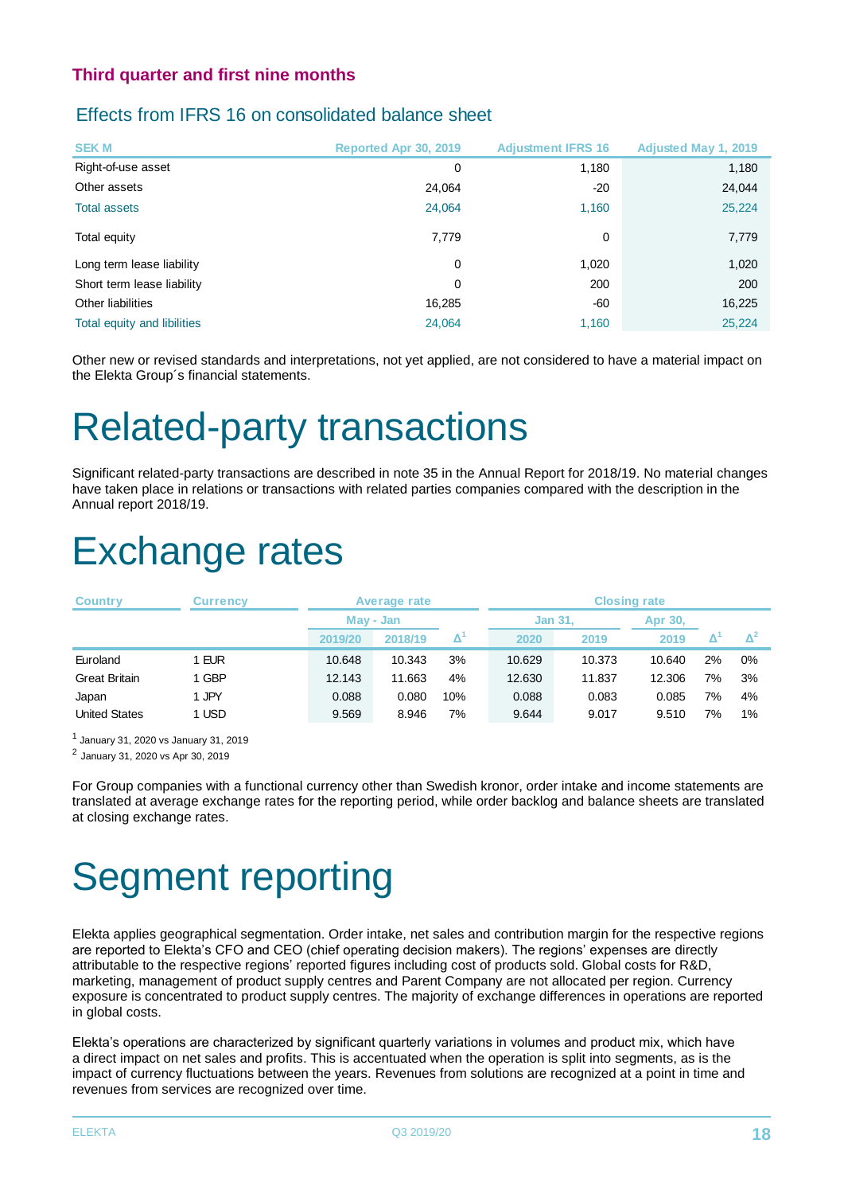|                                                                                                                                      | Effects from IFRS 16 on consolidated balance sheet                                                                                                                                                                                                                                                                                                                                                                                                                                                                                                                                                                                                                                                                                                                                                                                  |         |                       |                     |                           |                     |                             |                     |            |
|--------------------------------------------------------------------------------------------------------------------------------------|-------------------------------------------------------------------------------------------------------------------------------------------------------------------------------------------------------------------------------------------------------------------------------------------------------------------------------------------------------------------------------------------------------------------------------------------------------------------------------------------------------------------------------------------------------------------------------------------------------------------------------------------------------------------------------------------------------------------------------------------------------------------------------------------------------------------------------------|---------|-----------------------|---------------------|---------------------------|---------------------|-----------------------------|---------------------|------------|
| <b>SEKM</b>                                                                                                                          |                                                                                                                                                                                                                                                                                                                                                                                                                                                                                                                                                                                                                                                                                                                                                                                                                                     |         | Reported Apr 30, 2019 |                     | <b>Adjustment IFRS 16</b> |                     | <b>Adjusted May 1, 2019</b> |                     |            |
| Right-of-use asset                                                                                                                   |                                                                                                                                                                                                                                                                                                                                                                                                                                                                                                                                                                                                                                                                                                                                                                                                                                     |         |                       | 0                   |                           | 1,180               |                             |                     | 1,180      |
| Other assets                                                                                                                         |                                                                                                                                                                                                                                                                                                                                                                                                                                                                                                                                                                                                                                                                                                                                                                                                                                     |         |                       | 24,064              |                           | -20                 |                             |                     | 24,044     |
| <b>Total assets</b>                                                                                                                  |                                                                                                                                                                                                                                                                                                                                                                                                                                                                                                                                                                                                                                                                                                                                                                                                                                     |         |                       | 24,064              |                           | 1,160               |                             |                     | 25,224     |
| Total equity                                                                                                                         |                                                                                                                                                                                                                                                                                                                                                                                                                                                                                                                                                                                                                                                                                                                                                                                                                                     |         |                       | 7,779               |                           | 0                   |                             |                     | 7,779      |
| Long term lease liability                                                                                                            |                                                                                                                                                                                                                                                                                                                                                                                                                                                                                                                                                                                                                                                                                                                                                                                                                                     |         |                       | 0                   |                           | 1,020               |                             |                     | 1,020      |
| Short term lease liability                                                                                                           |                                                                                                                                                                                                                                                                                                                                                                                                                                                                                                                                                                                                                                                                                                                                                                                                                                     |         |                       | 0                   |                           | 200                 |                             |                     | 200        |
| Other liabilities                                                                                                                    |                                                                                                                                                                                                                                                                                                                                                                                                                                                                                                                                                                                                                                                                                                                                                                                                                                     |         |                       | 16,285              |                           | -60                 |                             |                     | 16,225     |
| Total equity and libilities                                                                                                          |                                                                                                                                                                                                                                                                                                                                                                                                                                                                                                                                                                                                                                                                                                                                                                                                                                     |         |                       | 24,064              |                           | 1,160               |                             |                     | 25,224     |
| Annual report 2018/19.                                                                                                               | <b>Related-party transactions</b><br>Significant related-party transactions are described in note 35 in the Annual Report for 2018/19. No material changes<br>have taken place in relations or transactions with related parties companies compared with the description in the<br><b>Exchange rates</b>                                                                                                                                                                                                                                                                                                                                                                                                                                                                                                                            |         |                       |                     |                           |                     |                             |                     |            |
| <b>Country</b>                                                                                                                       | <b>Currency</b>                                                                                                                                                                                                                                                                                                                                                                                                                                                                                                                                                                                                                                                                                                                                                                                                                     |         | <b>Average rate</b>   |                     |                           | <b>Closing rate</b> |                             |                     |            |
|                                                                                                                                      |                                                                                                                                                                                                                                                                                                                                                                                                                                                                                                                                                                                                                                                                                                                                                                                                                                     |         | May - Jan             |                     | Jan 31,                   |                     | Apr 30,                     |                     |            |
|                                                                                                                                      |                                                                                                                                                                                                                                                                                                                                                                                                                                                                                                                                                                                                                                                                                                                                                                                                                                     | 2019/20 | 2018/19               | $\mathbf{\Delta}^1$ | 2020                      | 2019                | 2019                        | $\mathbf{\Delta}^1$ | $\Delta^2$ |
| Euroland                                                                                                                             | 1 EUR                                                                                                                                                                                                                                                                                                                                                                                                                                                                                                                                                                                                                                                                                                                                                                                                                               | 10.648  | 10.343                | 3%                  | 10.629                    | 10.373              | 10.640                      | 2%                  | 0%         |
| <b>Great Britain</b>                                                                                                                 | 1 GBP                                                                                                                                                                                                                                                                                                                                                                                                                                                                                                                                                                                                                                                                                                                                                                                                                               | 12.143  | 11.663                | 4%                  | 12.630                    | 11.837              | 12.306                      | 7%                  | 3%         |
| Japan                                                                                                                                | 1 JPY                                                                                                                                                                                                                                                                                                                                                                                                                                                                                                                                                                                                                                                                                                                                                                                                                               | 0.088   | 0.080                 | 10%                 | 0.088                     | 0.083               | 0.085                       | 7%                  | 4%         |
| <b>United States</b>                                                                                                                 | 1 USD                                                                                                                                                                                                                                                                                                                                                                                                                                                                                                                                                                                                                                                                                                                                                                                                                               | 9.569   | 8.946                 | 7%                  | 9.644                     | 9.017               | 9.510                       | 7%                  | 1%         |
| January 31, 2020 vs January 31, 2019<br><sup>2</sup> January 31, 2020 vs Apr 30, 2019                                                |                                                                                                                                                                                                                                                                                                                                                                                                                                                                                                                                                                                                                                                                                                                                                                                                                                     |         |                       |                     |                           |                     |                             |                     |            |
| at closing exchange rates.                                                                                                           | For Group companies with a functional currency other than Swedish kronor, order intake and income statements are<br>translated at average exchange rates for the reporting period, while order backlog and balance sheets are translated<br><b>Segment reporting</b>                                                                                                                                                                                                                                                                                                                                                                                                                                                                                                                                                                |         |                       |                     |                           |                     |                             |                     |            |
| in global costs.<br>impact of currency fluctuations between the years. Revenues from solutions are recognized at a point in time and | Elekta applies geographical segmentation. Order intake, net sales and contribution margin for the respective regions<br>are reported to Elekta's CFO and CEO (chief operating decision makers). The regions' expenses are directly<br>attributable to the respective regions' reported figures including cost of products sold. Global costs for R&D,<br>marketing, management of product supply centres and Parent Company are not allocated per region. Currency<br>exposure is concentrated to product supply centres. The majority of exchange differences in operations are reported<br>Elekta's operations are characterized by significant quarterly variations in volumes and product mix, which have<br>a direct impact on net sales and profits. This is accentuated when the operation is split into segments, as is the |         |                       |                     |                           |                     |                             |                     |            |

## Related-party transactions

### Exchange rates

| <b>Country</b>       | <b>Currency</b> |         | Average rate |                      |                | <b>Closing rate</b> |         |    |                |
|----------------------|-----------------|---------|--------------|----------------------|----------------|---------------------|---------|----|----------------|
|                      |                 |         | May - Jan    |                      | <b>Jan 31,</b> |                     | Apr 30, |    |                |
|                      |                 | 2019/20 | 2018/19      | $\mathbf{\Lambda}^1$ | 2020           | 2019                | 2019    |    | $\mathbf{A}^2$ |
| Euroland             | 1 EUR           | 10.648  | 10.343       | 3%                   | 10.629         | 10.373              | 10.640  | 2% | 0%             |
| <b>Great Britain</b> | 1 GBP           | 12.143  | 11.663       | 4%                   | 12.630         | 11.837              | 12.306  | 7% | 3%             |
| Japan                | 1 JPY           | 0.088   | 0.080        | 10%                  | 0.088          | 0.083               | 0.085   | 7% | 4%             |
| <b>United States</b> | 1 USD           | 9.569   | 8.946        | 7%                   | 9.644          | 9.017               | 9.510   | 7% | 1%             |

## Segment reporting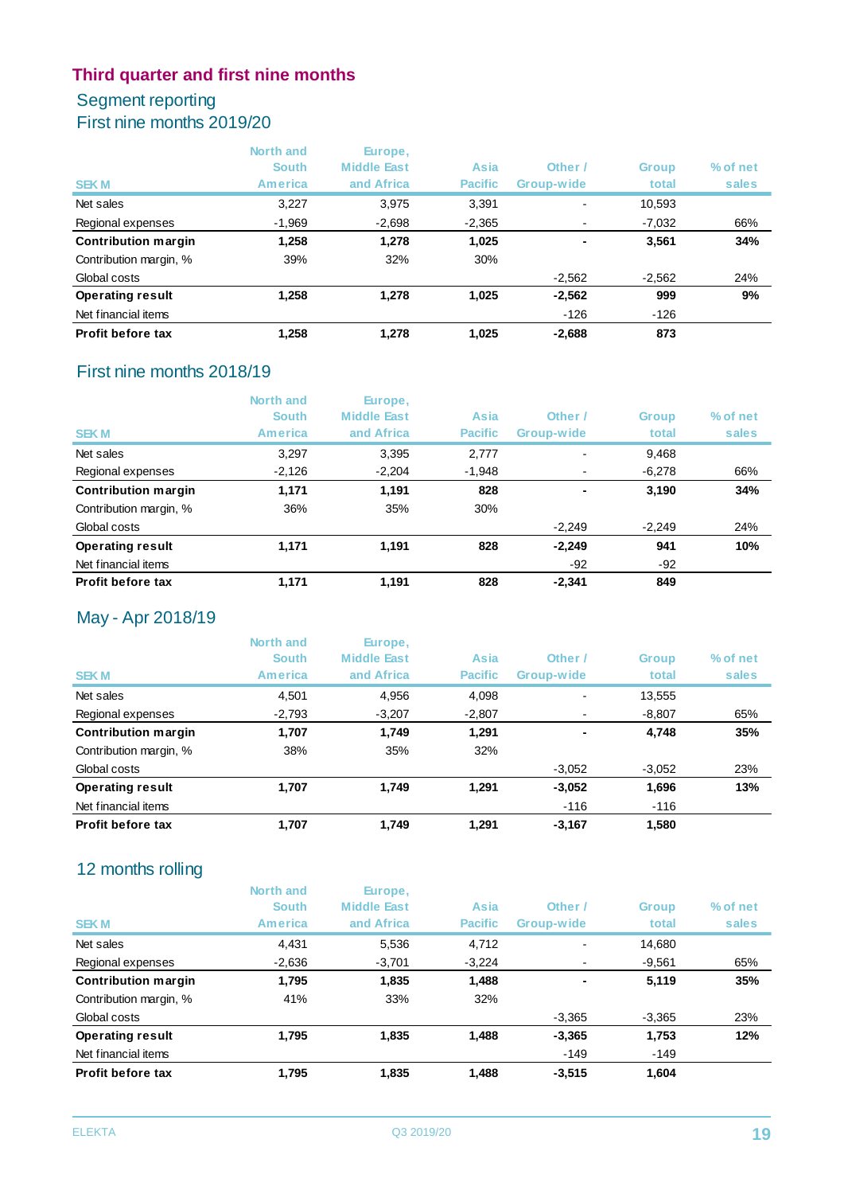### Segment reporting First nine months 2019/20

| <b>SEKM</b>                | North and<br><b>South</b><br>America | Europe,<br><b>Middle East</b><br>and Africa | Asia<br><b>Pacific</b> | Other /<br>Group-wide | <b>Group</b><br>total | % of net<br>sales |
|----------------------------|--------------------------------------|---------------------------------------------|------------------------|-----------------------|-----------------------|-------------------|
| Net sales                  | 3,227                                | 3,975                                       | 3,391                  | $\blacksquare$        | 10.593                |                   |
| Regional expenses          | $-1,969$                             | $-2,698$                                    | $-2,365$               |                       | $-7,032$              | 66%               |
| <b>Contribution margin</b> | 1,258                                | 1.278                                       | 1,025                  |                       | 3,561                 | 34%               |
| Contribution margin, %     | 39%                                  | 32%                                         | 30%                    |                       |                       |                   |
| Global costs               |                                      |                                             |                        | $-2,562$              | $-2.562$              | 24%               |
| <b>Operating result</b>    | 1,258                                | 1,278                                       | 1,025                  | $-2,562$              | 999                   | 9%                |
| Net financial items        |                                      |                                             |                        | -126                  | $-126$                |                   |
| Profit before tax          | 1.258                                | 1.278                                       | 1.025                  | $-2.688$              | 873                   |                   |

### First nine months 2018/19

|                            | North and<br><b>South</b> | Europe,<br><b>Middle East</b> | Asia           | Other /    | <b>Group</b> | % of net |
|----------------------------|---------------------------|-------------------------------|----------------|------------|--------------|----------|
| <b>SEKM</b>                | America                   | and Africa                    | <b>Pacific</b> | Group-wide | total        | sales    |
| Net sales                  | 3,297                     | 3,395                         | 2,777          |            | 9,468        |          |
| Regional expenses          | $-2,126$                  | $-2,204$                      | $-1,948$       |            | $-6,278$     | 66%      |
| <b>Contribution margin</b> | 1.171                     | 1.191                         | 828            |            | 3,190        | 34%      |
| Contribution margin, %     | 36%                       | 35%                           | 30%            |            |              |          |
| Global costs               |                           |                               |                | $-2,249$   | $-2,249$     | 24%      |
| <b>Operating result</b>    | 1.171                     | 1,191                         | 828            | $-2,249$   | 941          | 10%      |
| Net financial items        |                           |                               |                | -92        | -92          |          |
| Profit before tax          | 1.171                     | 1.191                         | 828            | $-2,341$   | 849          |          |

### May - Apr 2018/19

|                            | North and    | Europe,            |                |            |              |          |
|----------------------------|--------------|--------------------|----------------|------------|--------------|----------|
|                            | <b>South</b> | <b>Middle East</b> | Asia           | Other /    | <b>Group</b> | % of net |
| <b>SEKM</b>                | America      | and Africa         | <b>Pacific</b> | Group-wide | total        | sales    |
| Net sales                  | 4,501        | 4,956              | 4,098          |            | 13,555       |          |
| Regional expenses          | $-2,793$     | $-3,207$           | $-2,807$       |            | $-8,807$     | 65%      |
| <b>Contribution margin</b> | 1,707        | 1,749              | 1,291          | ۰.         | 4,748        | 35%      |
| Contribution margin, %     | 38%          | 35%                | 32%            |            |              |          |
| Global costs               |              |                    |                | $-3,052$   | $-3,052$     | 23%      |
| <b>Operating result</b>    | 1.707        | 1.749              | 1.291          | $-3,052$   | 1,696        | 13%      |
| Net financial items        |              |                    |                | $-116$     | $-116$       |          |
| Profit before tax          | 1.707        | 1.749              | 1.291          | $-3.167$   | 1,580        |          |

### 12 months rolling

| <b>SEKM</b>                | America  | and Africa | <b>Pacific</b> | Group-wide | total    | sales |
|----------------------------|----------|------------|----------------|------------|----------|-------|
| Net sales                  | 4,431    | 5,536      | 4,712          |            | 14,680   |       |
| Regional expenses          | $-2,636$ | $-3,701$   | $-3,224$       |            | $-9,561$ | 65%   |
| <b>Contribution margin</b> | 1,795    | 1,835      | 1,488          |            | 5,119    | 35%   |
| Contribution margin, %     | 41%      | 33%        | 32%            |            |          |       |
| Global costs               |          |            |                | $-3,365$   | $-3,365$ | 23%   |
| <b>Operating result</b>    | 1.795    | 1,835      | 1,488          | $-3,365$   | 1,753    | 12%   |
|                            |          |            |                |            |          |       |
| Net financial items        |          |            |                | -149       | -149     |       |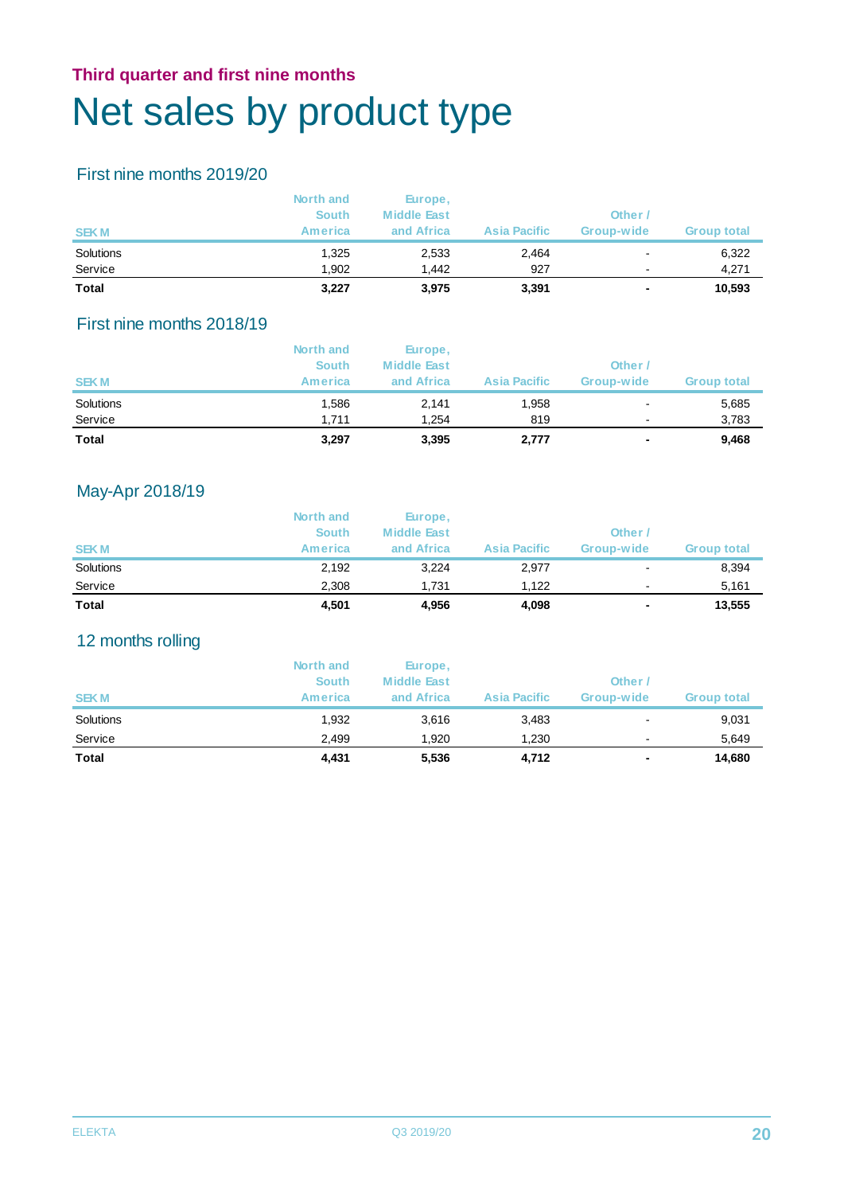### **Third quarter and first nine months** Net sales by product type

### First nine months 2019/20

|              | North and<br><b>South</b> | Europe,<br><b>Middle East</b> |                     | Other /                  |                    |
|--------------|---------------------------|-------------------------------|---------------------|--------------------------|--------------------|
| <b>SEKM</b>  | <b>America</b>            | and Africa                    | <b>Asia Pacific</b> | Group-wide               | <b>Group total</b> |
| Solutions    | 1.325                     | 2,533                         | 2,464               |                          | 6,322              |
| Service      | 1.902                     | 1.442                         | 927                 |                          | 4,271              |
| <b>Total</b> | 3,227                     | 3,975                         | 3,391               | $\overline{\phantom{0}}$ | 10,593             |

### First nine months 2018/19

|              | North and    | Europe,            |                     |                          |                    |
|--------------|--------------|--------------------|---------------------|--------------------------|--------------------|
|              | <b>South</b> | <b>Middle East</b> |                     | Other                    |                    |
| <b>SEKM</b>  | America      | and Africa         | <b>Asia Pacific</b> | Group-wide               | <b>Group total</b> |
| Solutions    | 1.586        | 2,141              | 1,958               | $\overline{\phantom{a}}$ | 5,685              |
| Service      | 1.711        | 1.254              | 819                 | $\blacksquare$           | 3,783              |
| <b>Total</b> | 3,297        | 3,395              | 2,777               |                          | 9,468              |

### May-Apr 2018/19

| <b>Total</b> | 4,501        | 4,956              | 4,098               | ۰                        | 13.555             |
|--------------|--------------|--------------------|---------------------|--------------------------|--------------------|
| Service      | 2.308        | 1.731              | 1.122               | $\overline{\phantom{0}}$ | 5,161              |
| Solutions    | 2,192        | 3,224              | 2,977               |                          | 8,394              |
| <b>SEKM</b>  | America      | and Africa         | <b>Asia Pacific</b> | Group-wide               | <b>Group total</b> |
|              | <b>South</b> | <b>Middle East</b> |                     | <b>Other</b>             |                    |
|              | North and    | Europe,            |                     |                          |                    |

### 12 months rolling

|              | North and<br><b>South</b> | Europe,<br><b>Middle East</b> |                     | Other /        |                    |
|--------------|---------------------------|-------------------------------|---------------------|----------------|--------------------|
| <b>SEKM</b>  | <b>America</b>            | and Africa                    | <b>Asia Pacific</b> | Group-wide     | <b>Group total</b> |
| Solutions    | 1,932                     | 3,616                         | 3,483               | -              | 9,031              |
| Service      | 2.499                     | 1.920                         | 1.230               | ٠              | 5,649              |
| <b>Total</b> | 4,431                     | 5,536                         | 4,712               | $\blacksquare$ | 14,680             |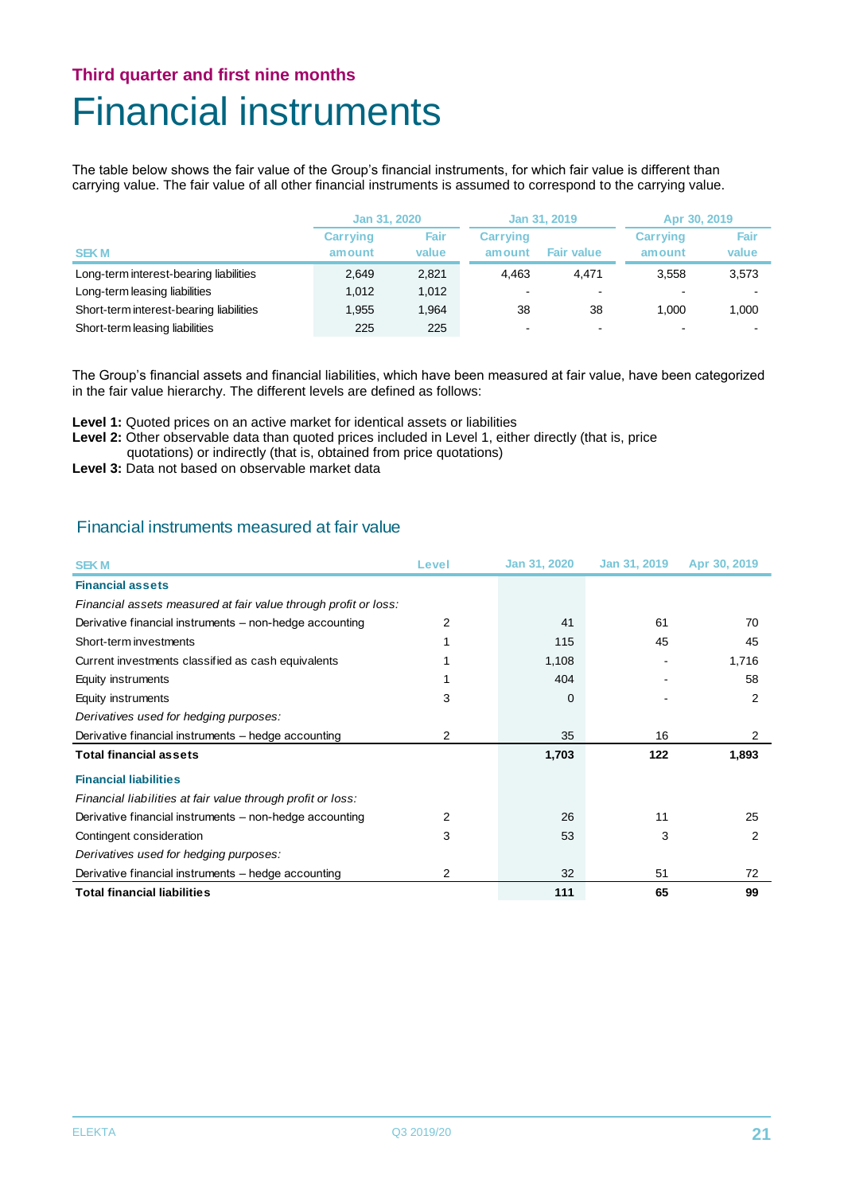### **Third quarter and first nine months** Financial instruments

The table below shows the fair value of the Group's financial instruments, for which fair value is different than carrying value. The fair value of all other financial instruments is assumed to correspond to the carrying value.

|                                         | Jan 31, 2020              |               |                           | Jan 31, 2019             | Apr 30, 2019              |               |
|-----------------------------------------|---------------------------|---------------|---------------------------|--------------------------|---------------------------|---------------|
| <b>SEKM</b>                             | <b>Carrying</b><br>amount | Fair<br>value | <b>Carrying</b><br>amount | <b>Fair value</b>        | <b>Carrying</b><br>amount | Fair<br>value |
| Long-term interest-bearing liabilities  | 2,649                     | 2,821         | 4.463                     | 4.471                    | 3,558                     | 3,573         |
| Long-term leasing liabilities           | 1,012                     | 1,012         |                           | $\overline{\phantom{0}}$ |                           |               |
| Short-term interest-bearing liabilities | 1.955                     | 1,964         | 38                        | 38                       | 1.000                     | 1,000         |
| Short-term leasing liabilities          | 225                       | 225           |                           | $\blacksquare$           |                           |               |

The Group's financial assets and financial liabilities, which have been measured at fair value, have been categorized in the fair value hierarchy. The different levels are defined as follows:

- **Level 1:** Quoted prices on an active market for identical assets or liabilities
- Level 2: Other observable data than quoted prices included in Level 1, either directly (that is, price
	- quotations) or indirectly (that is, obtained from price quotations)
- **Level 3:** Data not based on observable market data

#### Financial instruments measured at fair value

| <b>SEKM</b>                                                     | Level | Jan 31, 2020 | Jan 31, 2019 | Apr 30, 2019 |
|-----------------------------------------------------------------|-------|--------------|--------------|--------------|
| <b>Financial assets</b>                                         |       |              |              |              |
| Financial assets measured at fair value through profit or loss: |       |              |              |              |
| Derivative financial instruments – non-hedge accounting         | 2     | 41           | 61           | 70           |
| Short-term investments                                          |       | 115          | 45           | 45           |
| Current investments classified as cash equivalents              |       | 1,108        |              | 1,716        |
| Equity instruments                                              |       | 404          |              | 58           |
| Equity instruments                                              | 3     | $\Omega$     |              | 2            |
| Derivatives used for hedging purposes:                          |       |              |              |              |
| Derivative financial instruments – hedge accounting             | 2     | 35           | 16           | 2            |
| <b>Total financial assets</b>                                   |       | 1,703        | 122          | 1,893        |
| <b>Financial liabilities</b>                                    |       |              |              |              |
| Financial liabilities at fair value through profit or loss:     |       |              |              |              |
| Derivative financial instruments – non-hedge accounting         | 2     | 26           | 11           | 25           |
| Contingent consideration                                        | 3     | 53           | 3            | 2            |
| Derivatives used for hedging purposes:                          |       |              |              |              |
| Derivative financial instruments - hedge accounting             | 2     | 32           | 51           | 72           |
| Total financial liabilities                                     |       | 111          | 65           | 99           |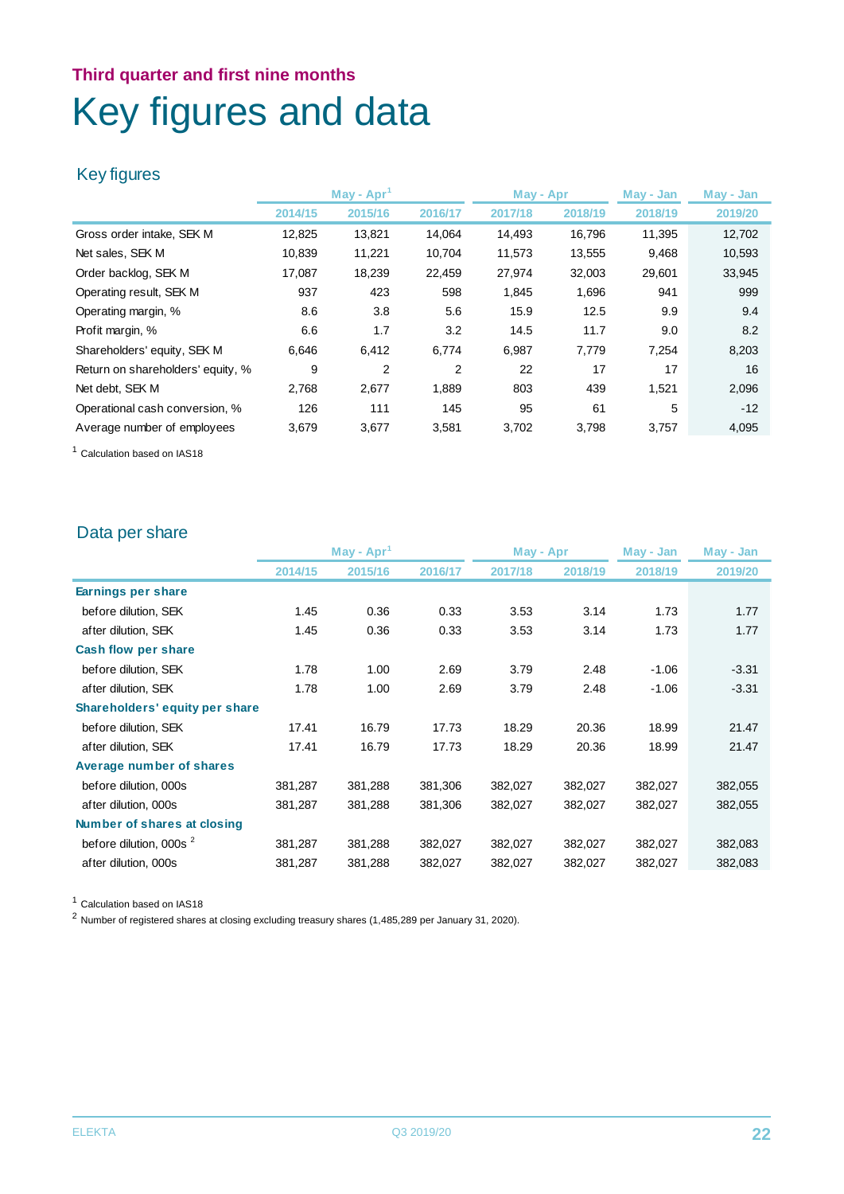### **Third quarter and first nine months** Key figures and data

### Key figures

|                                   |         | $May - Apr1$ |         | May - Apr |         | May - Jan | May - Jan |
|-----------------------------------|---------|--------------|---------|-----------|---------|-----------|-----------|
|                                   | 2014/15 | 2015/16      | 2016/17 | 2017/18   | 2018/19 | 2018/19   | 2019/20   |
| Gross order intake, SEK M         | 12,825  | 13,821       | 14,064  | 14,493    | 16,796  | 11,395    | 12,702    |
| Net sales, SEK M                  | 10,839  | 11,221       | 10,704  | 11,573    | 13,555  | 9,468     | 10,593    |
| Order backlog, SEK M              | 17,087  | 18,239       | 22,459  | 27,974    | 32,003  | 29,601    | 33,945    |
| Operating result, SEK M           | 937     | 423          | 598     | 1,845     | 1,696   | 941       | 999       |
| Operating margin, %               | 8.6     | 3.8          | 5.6     | 15.9      | 12.5    | 9.9       | 9.4       |
| Profit margin, %                  | 6.6     | 1.7          | 3.2     | 14.5      | 11.7    | 9.0       | 8.2       |
| Shareholders' equity, SEK M       | 6,646   | 6,412        | 6,774   | 6,987     | 7,779   | 7,254     | 8,203     |
| Return on shareholders' equity, % | 9       | 2            | 2       | 22        | 17      | 17        | 16        |
| Net debt, SEK M                   | 2,768   | 2,677        | 1,889   | 803       | 439     | 1,521     | 2,096     |
| Operational cash conversion, %    | 126     | 111          | 145     | 95        | 61      | 5         | $-12$     |
| Average number of employees       | 3,679   | 3,677        | 3,581   | 3,702     | 3,798   | 3,757     | 4,095     |

<sup>1</sup> Calculation based on IAS18

### Data per share

|                                    |         | May - Apr |         |         | May - Apr | May - Jan | May - Jan |
|------------------------------------|---------|-----------|---------|---------|-----------|-----------|-----------|
|                                    | 2014/15 | 2015/16   | 2016/17 | 2017/18 | 2018/19   | 2018/19   | 2019/20   |
| <b>Earnings per share</b>          |         |           |         |         |           |           |           |
| before dilution, SEK               | 1.45    | 0.36      | 0.33    | 3.53    | 3.14      | 1.73      | 1.77      |
| after dilution, SEK                | 1.45    | 0.36      | 0.33    | 3.53    | 3.14      | 1.73      | 1.77      |
| <b>Cash flow per share</b>         |         |           |         |         |           |           |           |
| before dilution, SEK               | 1.78    | 1.00      | 2.69    | 3.79    | 2.48      | $-1.06$   | $-3.31$   |
| after dilution, SEK                | 1.78    | 1.00      | 2.69    | 3.79    | 2.48      | $-1.06$   | $-3.31$   |
| Shareholders' equity per share     |         |           |         |         |           |           |           |
| before dilution, SEK               | 17.41   | 16.79     | 17.73   | 18.29   | 20.36     | 18.99     | 21.47     |
| after dilution, SEK                | 17.41   | 16.79     | 17.73   | 18.29   | 20.36     | 18.99     | 21.47     |
| Average number of shares           |         |           |         |         |           |           |           |
| before dilution, 000s              | 381,287 | 381,288   | 381,306 | 382,027 | 382,027   | 382,027   | 382,055   |
| after dilution, 000s               | 381,287 | 381,288   | 381,306 | 382,027 | 382,027   | 382,027   | 382,055   |
| Number of shares at closing        |         |           |         |         |           |           |           |
| before dilution, 000s <sup>2</sup> | 381,287 | 381,288   | 382,027 | 382,027 | 382,027   | 382,027   | 382,083   |
| after dilution, 000s               | 381,287 | 381,288   | 382,027 | 382,027 | 382,027   | 382,027   | 382,083   |
|                                    |         |           |         |         |           |           |           |

<sup>1</sup> Calculation based on IAS18

<sup>2</sup> Number of registered shares at closing excluding treasury shares (1,485,289 per January 31, 2020).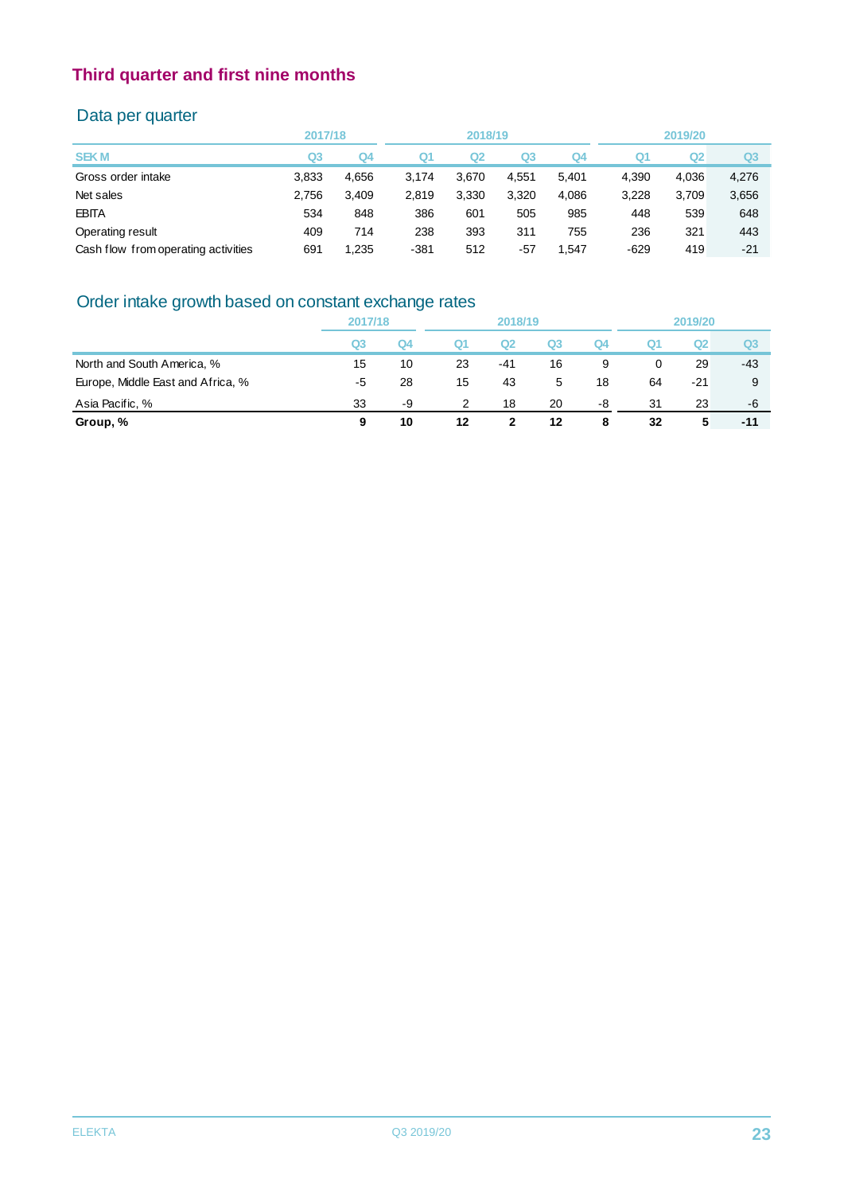### Data per quarter

|                                     | 2017/18 |       |       | 2018/19        |       |       |                | 2019/20 |                |
|-------------------------------------|---------|-------|-------|----------------|-------|-------|----------------|---------|----------------|
| <b>SEKM</b>                         | Q3      | Q4    | Q1    | Q <sub>2</sub> | Q3    | Q4    | Q <sub>1</sub> | Q2      | Q <sub>3</sub> |
| Gross order intake                  | 3,833   | 4,656 | 3.174 | 3.670          | 4.551 | 5.401 | 4.390          | 4.036   | 4,276          |
| Net sales                           | 2,756   | 3,409 | 2,819 | 3.330          | 3,320 | 4,086 | 3.228          | 3.709   | 3,656          |
| <b>EBITA</b>                        | 534     | 848   | 386   | 601            | 505   | 985   | 448            | 539     | 648            |
| Operating result                    | 409     | 714   | 238   | 393            | 311   | 755   | 236            | 321     | 443            |
| Cash flow from operating activities | 691     | 1,235 | -381  | 512            | $-57$ | 1.547 | $-629$         | 419     | $-21$          |
|                                     |         |       |       |                |       |       |                |         |                |

### Order intake growth based on constant exchange rates

|                                   | 2017/18<br>2018/19 |    |                | 2019/20 |    |    |    |                |                |
|-----------------------------------|--------------------|----|----------------|---------|----|----|----|----------------|----------------|
|                                   | Q <sub>3</sub>     | Q4 | Q <sub>1</sub> | Q2      | Q3 | Q4 | Q1 | Q <sub>2</sub> | Q <sub>3</sub> |
| North and South America, %        | 15                 | 10 | 23             | $-41$   | 16 | 9  |    | 29             | -43            |
| Europe, Middle East and Africa, % | -5                 | 28 | 15             | 43      | 5  | 18 | 64 | $-21$          | 9              |
| Asia Pacific, %                   | 33                 | -9 | 2              | 18      | 20 | -8 | 31 | 23             | -6             |
| Group, %                          | 9                  | 10 | 12             |         | 12 | 8  | 32 | 5              | $-11$          |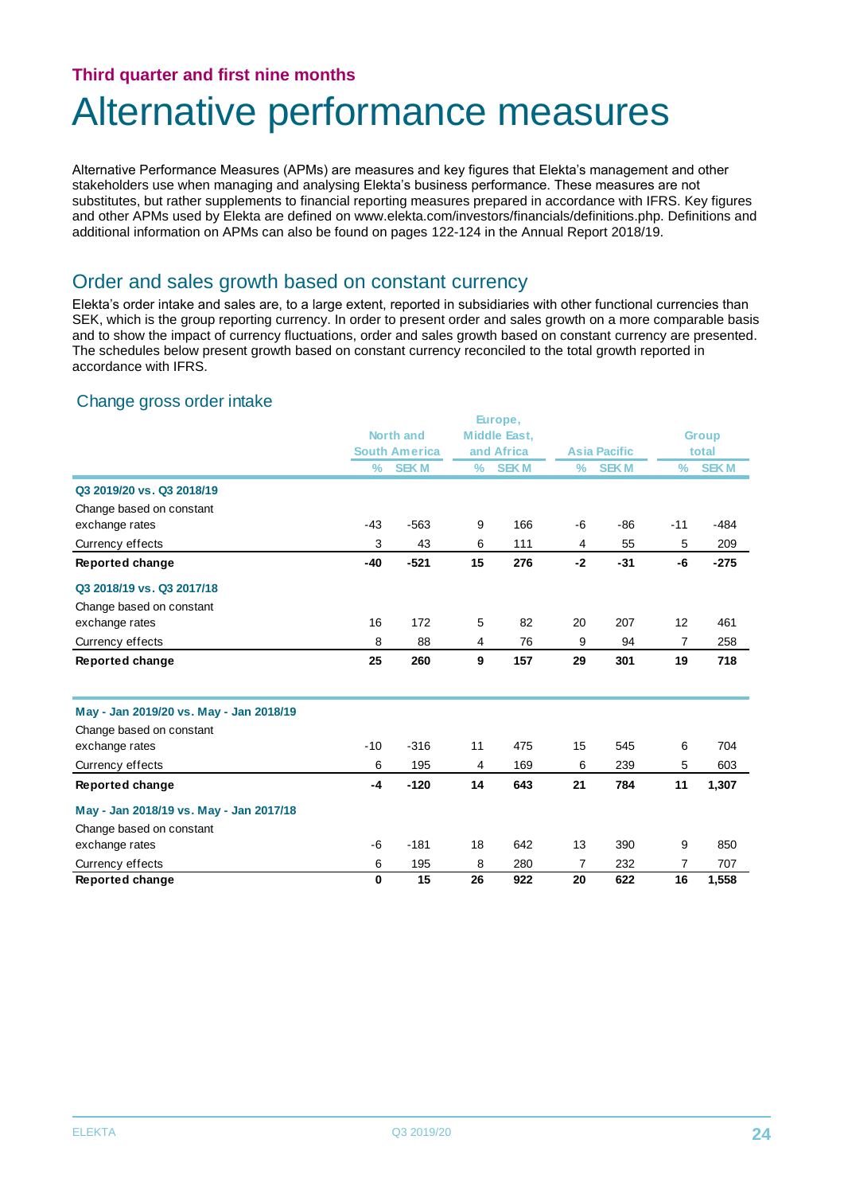### Alternative performance measures

Alternative Performance Measures (APMs) are measures and key figures that Elekta's management and other stakeholders use when managing and analysing Elekta's business performance. These measures are not substitutes, but rather supplements to financial reporting measures prepared in accordance with IFRS. Key figures and other APMs used by Elekta are defined on www.elekta.com/investors/financials/definitions.php. Definitions and additional information on APMs can also be found on pages 122-124 in the Annual Report 2018/19.

### Order and sales growth based on constant currency

Elekta's order intake and sales are, to a large extent, reported in subsidiaries with other functional currencies than SEK, which is the group reporting currency. In order to present order and sales growth on a more comparable basis and to show the impact of currency fluctuations, order and sales growth based on constant currency are presented. The schedules below present growth based on constant currency reconciled to the total growth reported in accordance with IFRS.

#### Change gross order intake

|                                         |              |                      |      | Europe,             |                |                     |                |              |
|-----------------------------------------|--------------|----------------------|------|---------------------|----------------|---------------------|----------------|--------------|
|                                         |              | North and            |      | <b>Middle East,</b> |                |                     |                | <b>Group</b> |
|                                         |              | <b>South America</b> |      | and Africa          |                | <b>Asia Pacific</b> |                | total        |
|                                         | $\%$         | <b>SEK M</b>         | $\%$ | <b>SEKM</b>         | $\%$           | <b>SEKM</b>         | $\%$           | <b>SEKM</b>  |
| Q3 2019/20 vs. Q3 2018/19               |              |                      |      |                     |                |                     |                |              |
| Change based on constant                |              |                      |      |                     |                |                     |                |              |
| exchange rates                          | $-43$        | $-563$               | 9    | 166                 | -6             | $-86$               | $-11$          | $-484$       |
| Currency effects                        | 3            | 43                   | 6    | 111                 | 4              | 55                  | 5              | 209          |
| Reported change                         | $-40$        | $-521$               | 15   | 276                 | $-2$           | $-31$               | -6             | $-275$       |
| Q3 2018/19 vs. Q3 2017/18               |              |                      |      |                     |                |                     |                |              |
| Change based on constant                |              |                      |      |                     |                |                     |                |              |
| exchange rates                          | 16           | 172                  | 5    | 82                  | 20             | 207                 | 12             | 461          |
| Currency effects                        | 8            | 88                   | 4    | 76                  | 9              | 94                  | 7              | 258          |
| Reported change                         | 25           | 260                  | 9    | 157                 | 29             | 301                 | 19             | 718          |
| May - Jan 2019/20 vs. May - Jan 2018/19 |              |                      |      |                     |                |                     |                |              |
| Change based on constant                |              |                      |      |                     |                |                     |                |              |
| exchange rates                          | $-10$        | $-316$               | 11   | 475                 | 15             | 545                 | 6              | 704          |
| Currency effects                        | 6            | 195                  | 4    | 169                 | 6              | 239                 | 5              | 603          |
| Reported change                         | $-4$         | $-120$               | 14   | 643                 | 21             | 784                 | 11             | 1,307        |
| May - Jan 2018/19 vs. May - Jan 2017/18 |              |                      |      |                     |                |                     |                |              |
| Change based on constant                |              |                      |      |                     |                |                     |                |              |
| exchange rates                          | -6           | $-181$               | 18   | 642                 | 13             | 390                 | 9              | 850          |
| Currency effects                        | 6            | 195                  | 8    | 280                 | $\overline{7}$ | 232                 | $\overline{7}$ | 707          |
| Reported change                         | $\mathbf{0}$ | 15                   | 26   | 922                 | 20             | 622                 | 16             | 1,558        |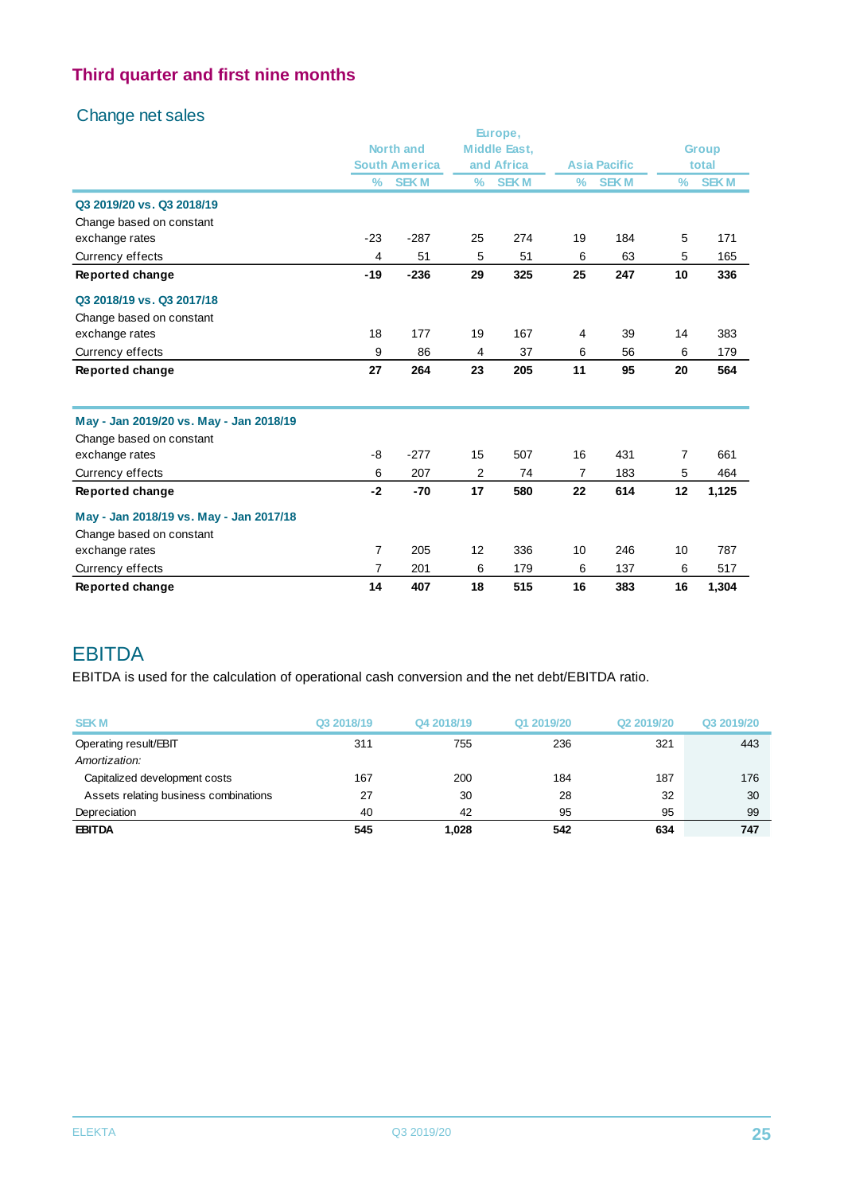### Change net sales

|                                         |                |                      |                | Europe,             |      |                     |                |              |
|-----------------------------------------|----------------|----------------------|----------------|---------------------|------|---------------------|----------------|--------------|
|                                         |                | <b>North and</b>     |                | <b>Middle East,</b> |      |                     |                | <b>Group</b> |
|                                         |                | <b>South America</b> |                | and Africa          |      | <b>Asia Pacific</b> |                | total        |
|                                         | $\%$           | <b>SEKM</b>          | $\frac{9}{6}$  | <b>SEKM</b>         | $\%$ | <b>SEKM</b>         | $\frac{9}{6}$  | <b>SEKM</b>  |
| Q3 2019/20 vs. Q3 2018/19               |                |                      |                |                     |      |                     |                |              |
| Change based on constant                |                |                      |                |                     |      |                     |                |              |
| exchange rates                          | $-23$          | $-287$               | 25             | 274                 | 19   | 184                 | 5              | 171          |
| Currency effects                        | $\overline{4}$ | 51                   | 5              | 51                  | 6    | 63                  | 5              | 165          |
| Reported change                         | $-19$          | $-236$               | 29             | 325                 | 25   | 247                 | 10             | 336          |
| Q3 2018/19 vs. Q3 2017/18               |                |                      |                |                     |      |                     |                |              |
| Change based on constant                |                |                      |                |                     |      |                     |                |              |
| exchange rates                          | 18             | 177                  | 19             | 167                 | 4    | 39                  | 14             | 383          |
| Currency effects                        | 9              | 86                   | 4              | 37                  | 6    | 56                  | 6              | 179          |
| Reported change                         | 27             | 264                  | 23             | 205                 | 11   | 95                  | 20             | 564          |
| May - Jan 2019/20 vs. May - Jan 2018/19 |                |                      |                |                     |      |                     |                |              |
| Change based on constant                |                |                      |                |                     |      |                     |                |              |
| exchange rates                          | -8             | $-277$               | 15             | 507                 | 16   | 431                 | $\overline{7}$ | 661          |
| Currency effects                        | 6              | 207                  | $\overline{2}$ | 74                  | 7    | 183                 | 5              | 464          |
| <b>Reported change</b>                  | $-2$           | $-70$                | 17             | 580                 | 22   | 614                 | 12             | 1,125        |
| May - Jan 2018/19 vs. May - Jan 2017/18 |                |                      |                |                     |      |                     |                |              |
| Change based on constant                |                |                      |                |                     |      |                     |                |              |
| exchange rates                          | 7              | 205                  | 12             | 336                 | 10   | 246                 | 10             | 787          |
| Currency effects                        | $\overline{7}$ | 201                  | 6              | 179                 | 6    | 137                 | 6              | 517          |
| Reported change                         | 14             | 407                  | 18             | 515                 | 16   | 383                 | 16             | 1,304        |

### EBITDA

EBITDA is used for the calculation of operational cash conversion and the net debt/EBITDA ratio.

| <b>SEKM</b>                           | Q3 2018/19 | Q4 2018/19 | Q1 2019/20 | Q2 2019/20 | Q3 2019/20 |
|---------------------------------------|------------|------------|------------|------------|------------|
| Operating result/EBIT                 | 311        | 755        | 236        | 321        | 443        |
| Amortization:                         |            |            |            |            |            |
| Capitalized development costs         | 167        | 200        | 184        | 187        | 176        |
| Assets relating business combinations | 27         | 30         | 28         | 32         | 30         |
| Depreciation                          | 40         | 42         | 95         | 95         | 99         |
| <b>EBITDA</b>                         | 545        | 1.028      | 542        | 634        | 747        |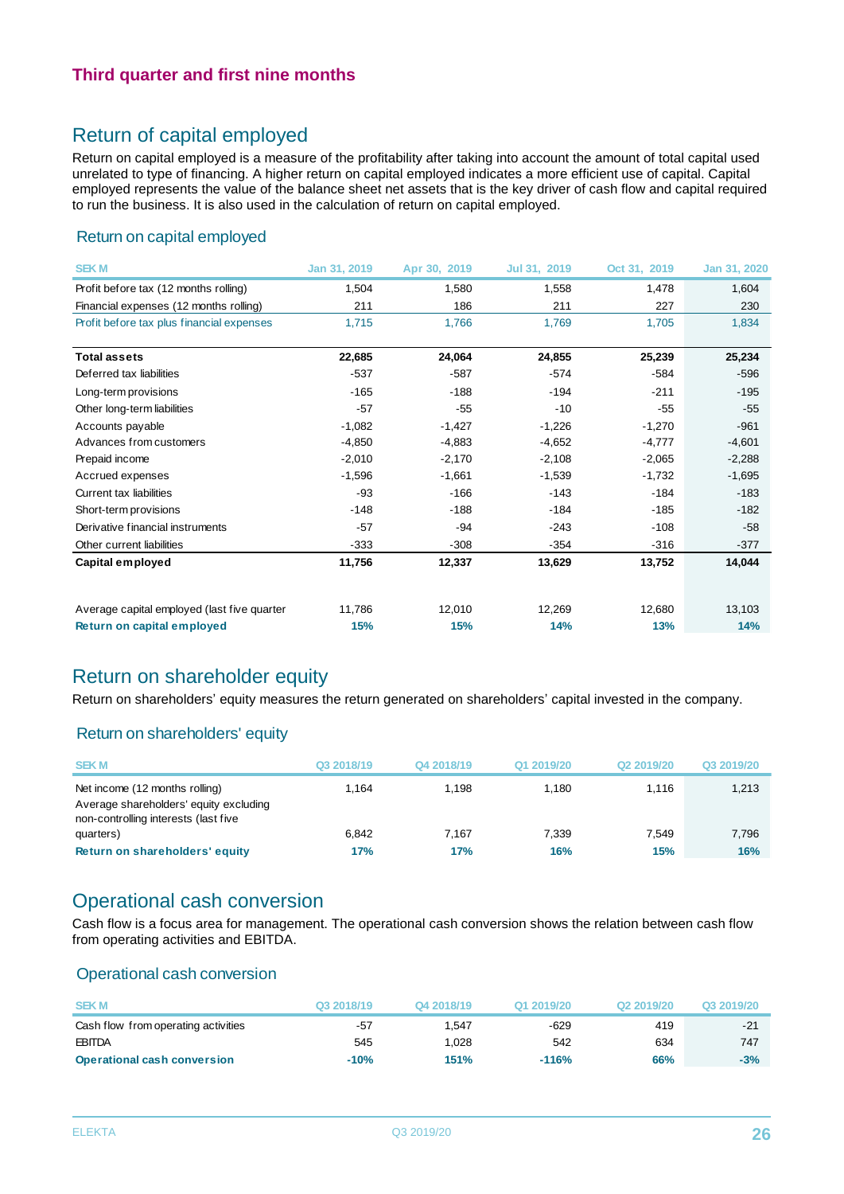### Return of capital employed

Return on capital employed is a measure of the profitability after taking into account the amount of total capital used unrelated to type of financing. A higher return on capital employed indicates a more efficient use of capital. Capital employed represents the value of the balance sheet net assets that is the key driver of cash flow and capital required to run the business. It is also used in the calculation of return on capital employed.

#### Return on capital employed

| <b>SEKM</b>                                 | Jan 31, 2019 | Apr 30, 2019 | Jul 31, 2019 | Oct 31, 2019 | Jan 31, 2020 |
|---------------------------------------------|--------------|--------------|--------------|--------------|--------------|
| Profit before tax (12 months rolling)       | 1,504        | 1,580        | 1,558        | 1,478        | 1,604        |
| Financial expenses (12 months rolling)      | 211          | 186          | 211          | 227          | 230          |
| Profit before tax plus financial expenses   | 1,715        | 1,766        | 1.769        | 1,705        | 1,834        |
| <b>Total assets</b>                         | 22,685       | 24,064       | 24,855       | 25,239       | 25,234       |
| Deferred tax liabilities                    | $-537$       | $-587$       | $-574$       | $-584$       | $-596$       |
| Long-term provisions                        | $-165$       | $-188$       | $-194$       | $-211$       | $-195$       |
| Other long-term liabilities                 | $-57$        | $-55$        | $-10$        | $-55$        | $-55$        |
| Accounts payable                            | $-1,082$     | $-1,427$     | $-1,226$     | $-1,270$     | $-961$       |
| Advances from customers                     | $-4,850$     | $-4,883$     | $-4,652$     | $-4,777$     | $-4,601$     |
| Prepaid income                              | $-2,010$     | $-2,170$     | $-2,108$     | $-2,065$     | $-2,288$     |
| Accrued expenses                            | $-1,596$     | $-1,661$     | $-1,539$     | $-1,732$     | $-1,695$     |
| Current tax liabilities                     | $-93$        | $-166$       | $-143$       | $-184$       | $-183$       |
| Short-term provisions                       | $-148$       | $-188$       | $-184$       | $-185$       | $-182$       |
| Derivative financial instruments            | $-57$        | $-94$        | $-243$       | $-108$       | $-58$        |
| Other current liabilities                   | $-333$       | $-308$       | $-354$       | $-316$       | $-377$       |
| Capital employed                            | 11,756       | 12,337       | 13,629       | 13,752       | 14,044       |
|                                             |              |              |              |              |              |
| Average capital employed (last five quarter | 11,786       | 12,010       | 12,269       | 12,680       | 13,103       |
| Return on capital employed                  | 15%          | 15%          | 14%          | 13%          | 14%          |

### Return on shareholder equity

Return on shareholders' equity measures the return generated on shareholders' capital invested in the company.

#### Return on shareholders' equity

| <b>SEKM</b>                                                                                                      | Q3 2018/19 | Q4 2018/19 | Q1 2019/20 | Q <sub>2</sub> 2019/20 | Q3 2019/20 |
|------------------------------------------------------------------------------------------------------------------|------------|------------|------------|------------------------|------------|
| Net income (12 months rolling)<br>Average shareholders' equity excluding<br>non-controlling interests (last five | 1.164      | 1.198      | 1.180      | 1.116                  | 1,213      |
| quarters)                                                                                                        | 6.842      | 7.167      | 7.339      | 7.549                  | 7.796      |
| Return on shareholders' equity                                                                                   | 17%        | 17%        | 16%        | 15%                    | 16%        |

### Operational cash conversion

Cash flow is a focus area for management. The operational cash conversion shows the relation between cash flow from operating activities and EBITDA.

#### Operational cash conversion

| Operational cash conversion         |            |            |            |                        |            |
|-------------------------------------|------------|------------|------------|------------------------|------------|
| <b>SEKM</b>                         | Q3 2018/19 | Q4 2018/19 | Q1 2019/20 | Q <sub>2</sub> 2019/20 | Q3 2019/20 |
| Cash flow from operating activities | $-57$      | 1.547      | $-629$     | 419                    | -21        |
| <b>EBITDA</b>                       | 545        | 1.028      | 542        | 634                    | 747        |
| <b>Operational cash conversion</b>  | $-10%$     | 151%       | $-116%$    | 66%                    | $-3%$      |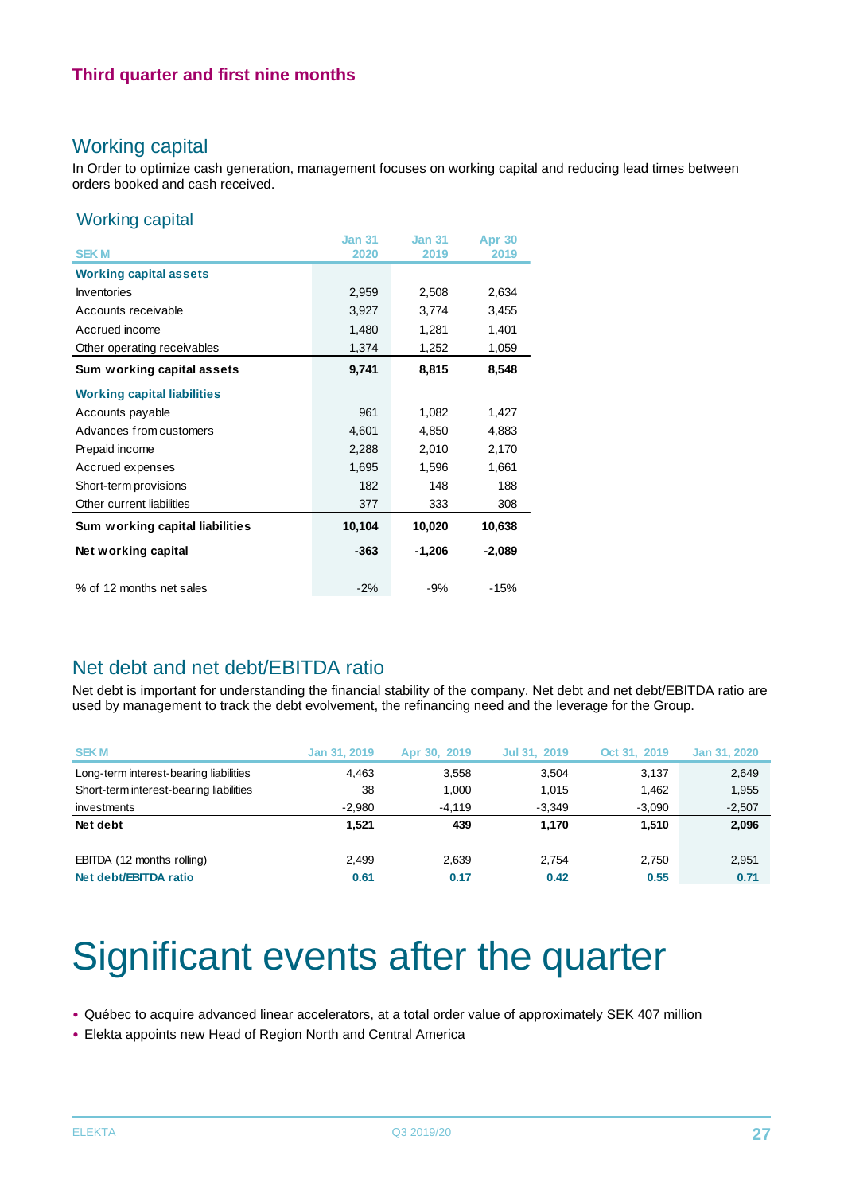### Working capital

In Order to optimize cash generation, management focuses on working capital and reducing lead times between orders booked and cash received.

#### Working capital

|                                    | <b>Jan 31</b> | <b>Jan 31</b> | <b>Apr 30</b> |
|------------------------------------|---------------|---------------|---------------|
| <b>SEKM</b>                        | 2020          | 2019          | 2019          |
| <b>Working capital assets</b>      |               |               |               |
| <b>Inventories</b>                 | 2,959         | 2,508         | 2,634         |
| Accounts receivable                | 3,927         | 3,774         | 3,455         |
| Accrued income                     | 1,480         | 1,281         | 1,401         |
| Other operating receivables        | 1,374         | 1,252         | 1,059         |
| Sum working capital assets         | 9,741         | 8,815         | 8,548         |
| <b>Working capital liabilities</b> |               |               |               |
| Accounts payable                   | 961           | 1,082         | 1,427         |
| Advances from customers            | 4,601         | 4,850         | 4,883         |
| Prepaid income                     | 2,288         | 2,010         | 2,170         |
| Accrued expenses                   | 1,695         | 1,596         | 1,661         |
| Short-term provisions              | 182           | 148           | 188           |
| Other current liabilities          | 377           | 333           | 308           |
| Sum working capital liabilities    | 10,104        | 10,020        | 10,638        |
| Net working capital                | $-363$        | $-1,206$      | $-2,089$      |
| % of 12 months net sales           | $-2%$         | $-9%$         | $-15%$        |

### Net debt and net debt/EBITDA ratio

Net debt is important for understanding the financial stability of the company. Net debt and net debt/EBITDA ratio are used by management to track the debt evolvement, the refinancing need and the leverage for the Group.

| <b>SEK M</b>                            | Jan 31, 2019 | Apr 30, 2019 | Jul 31, 2019 | Oct 31, 2019 | Jan 31, 2020 |
|-----------------------------------------|--------------|--------------|--------------|--------------|--------------|
| Long-term interest-bearing liabilities  | 4,463        | 3,558        | 3,504        | 3,137        | 2,649        |
| Short-term interest-bearing liabilities | 38           | 1.000        | 1.015        | 1,462        | 1,955        |
| investments                             | $-2.980$     | $-4.119$     | $-3,349$     | $-3,090$     | $-2,507$     |
| Net debt                                | 1.521        | 439          | 1.170        | 1.510        | 2,096        |
|                                         |              |              |              |              |              |
| EBITDA (12 months rolling)              | 2.499        | 2,639        | 2,754        | 2,750        | 2,951        |
| Net debt/EBITDA ratio                   | 0.61         | 0.17         | 0.42         | 0.55         | 0.71         |

### Significant events after the quarter

• Québec to acquire advanced linear accelerators, at a total order value of approximately SEK 407 million

• Elekta appoints new Head of Region North and Central America